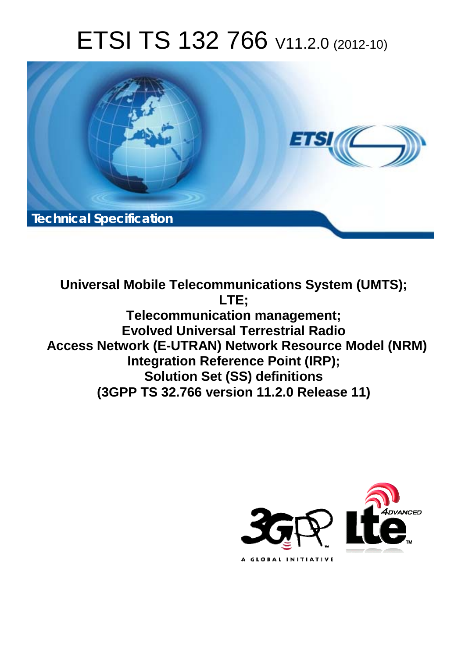# ETSI TS 132 766 V11.2.0 (2012-10)



**Universal Mobile Telecommunications System (UMTS); LTE; Telecommunication management; Evolved Universal Terrestrial Radio Access Network (E-UTRAN) Network Resource Model (NRM) Integration Reference Point (IRP); Solution Set (SS) definitions (3GPP TS 32.766 version 11.2.0 Release 11)** 

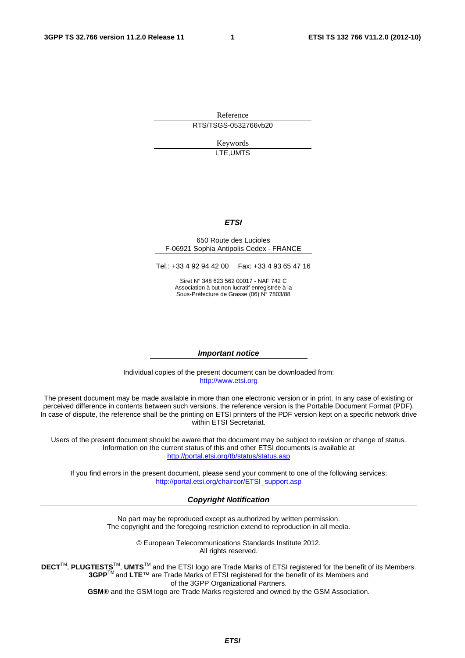Reference RTS/TSGS-0532766vb20

> Keywords LTE,UMTS

#### *ETSI*

#### 650 Route des Lucioles F-06921 Sophia Antipolis Cedex - FRANCE

Tel.: +33 4 92 94 42 00 Fax: +33 4 93 65 47 16

Siret N° 348 623 562 00017 - NAF 742 C Association à but non lucratif enregistrée à la Sous-Préfecture de Grasse (06) N° 7803/88

#### *Important notice*

Individual copies of the present document can be downloaded from: [http://www.etsi.org](http://www.etsi.org/)

The present document may be made available in more than one electronic version or in print. In any case of existing or perceived difference in contents between such versions, the reference version is the Portable Document Format (PDF). In case of dispute, the reference shall be the printing on ETSI printers of the PDF version kept on a specific network drive within ETSI Secretariat.

Users of the present document should be aware that the document may be subject to revision or change of status. Information on the current status of this and other ETSI documents is available at <http://portal.etsi.org/tb/status/status.asp>

If you find errors in the present document, please send your comment to one of the following services: [http://portal.etsi.org/chaircor/ETSI\\_support.asp](http://portal.etsi.org/chaircor/ETSI_support.asp)

#### *Copyright Notification*

No part may be reproduced except as authorized by written permission. The copyright and the foregoing restriction extend to reproduction in all media.

> © European Telecommunications Standards Institute 2012. All rights reserved.

DECT<sup>™</sup>, PLUGTESTS<sup>™</sup>, UMTS<sup>™</sup> and the ETSI logo are Trade Marks of ETSI registered for the benefit of its Members. **3GPP**TM and **LTE**™ are Trade Marks of ETSI registered for the benefit of its Members and of the 3GPP Organizational Partners.

**GSM**® and the GSM logo are Trade Marks registered and owned by the GSM Association.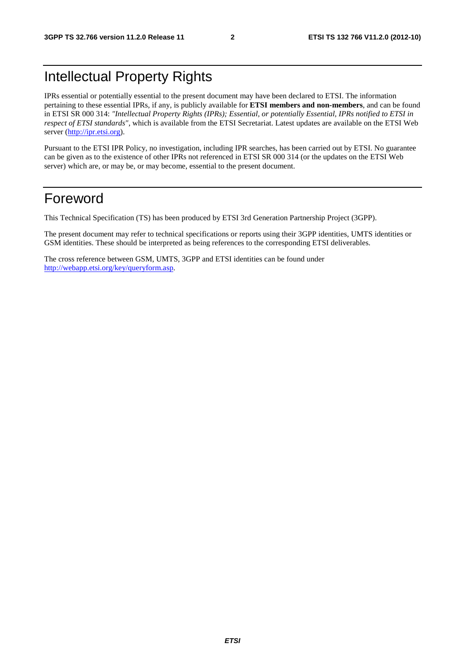## Intellectual Property Rights

IPRs essential or potentially essential to the present document may have been declared to ETSI. The information pertaining to these essential IPRs, if any, is publicly available for **ETSI members and non-members**, and can be found in ETSI SR 000 314: *"Intellectual Property Rights (IPRs); Essential, or potentially Essential, IPRs notified to ETSI in respect of ETSI standards"*, which is available from the ETSI Secretariat. Latest updates are available on the ETSI Web server ([http://ipr.etsi.org\)](http://webapp.etsi.org/IPR/home.asp).

Pursuant to the ETSI IPR Policy, no investigation, including IPR searches, has been carried out by ETSI. No guarantee can be given as to the existence of other IPRs not referenced in ETSI SR 000 314 (or the updates on the ETSI Web server) which are, or may be, or may become, essential to the present document.

## Foreword

This Technical Specification (TS) has been produced by ETSI 3rd Generation Partnership Project (3GPP).

The present document may refer to technical specifications or reports using their 3GPP identities, UMTS identities or GSM identities. These should be interpreted as being references to the corresponding ETSI deliverables.

The cross reference between GSM, UMTS, 3GPP and ETSI identities can be found under [http://webapp.etsi.org/key/queryform.asp.](http://webapp.etsi.org/key/queryform.asp)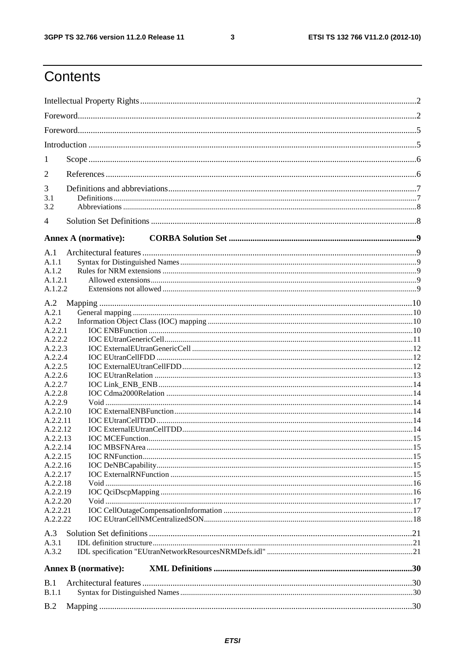$\mathbf{3}$ 

## Contents

| 1                    |                             |  |
|----------------------|-----------------------------|--|
| 2                    |                             |  |
| 3                    |                             |  |
| 3.1                  |                             |  |
| 3.2                  |                             |  |
| 4                    |                             |  |
|                      | <b>Annex A (normative):</b> |  |
| A.1                  |                             |  |
| A.1.1                |                             |  |
| A.1.2                |                             |  |
| A.1.2.1<br>A.1.2.2   |                             |  |
| A.2                  |                             |  |
| A.2.1                |                             |  |
| A.2.2                |                             |  |
| A.2.2.1              |                             |  |
| A.2.2.2              |                             |  |
| A.2.2.3              |                             |  |
| A.2.2.4              |                             |  |
| A.2.2.5              |                             |  |
| A.2.2.6<br>A.2.2.7   |                             |  |
| A.2.2.8              |                             |  |
| A.2.2.9              |                             |  |
| A.2.2.10             |                             |  |
| A.2.2.11             |                             |  |
| A.2.2.12             |                             |  |
| A.2.2.13             |                             |  |
| A.2.2.14             |                             |  |
| A.2.2.15             |                             |  |
| A.2.2.16             |                             |  |
| A.2.2.17<br>A.2.2.18 |                             |  |
| A.2.2.19             |                             |  |
| A.2.2.20             |                             |  |
| A.2.2.21             |                             |  |
| A.2.2.22             |                             |  |
| A.3                  |                             |  |
| A.3.1                |                             |  |
| A.3.2                |                             |  |
|                      | <b>Annex B</b> (normative): |  |
| B.1                  |                             |  |
| B.1.1                |                             |  |
| B.2                  |                             |  |
|                      |                             |  |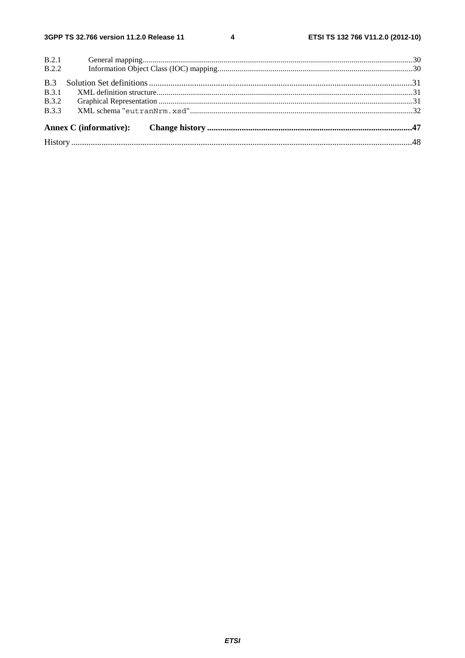#### 3GPP TS 32.766 version 11.2.0 Release 11

 $\overline{\mathbf{4}}$ 

| B.2.1 |  |
|-------|--|
| B.2.2 |  |
|       |  |
| B.3.1 |  |
| B.3.2 |  |
|       |  |
|       |  |
|       |  |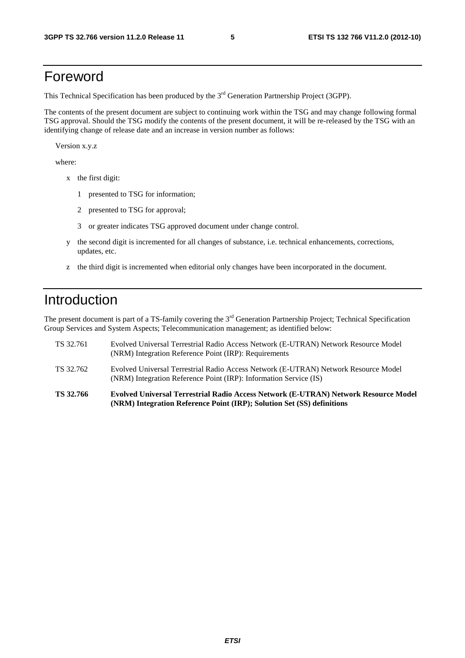## Foreword

This Technical Specification has been produced by the 3<sup>rd</sup> Generation Partnership Project (3GPP).

The contents of the present document are subject to continuing work within the TSG and may change following formal TSG approval. Should the TSG modify the contents of the present document, it will be re-released by the TSG with an identifying change of release date and an increase in version number as follows:

Version x.y.z

where:

- x the first digit:
	- 1 presented to TSG for information;
	- 2 presented to TSG for approval;
	- 3 or greater indicates TSG approved document under change control.
- y the second digit is incremented for all changes of substance, i.e. technical enhancements, corrections, updates, etc.
- z the third digit is incremented when editorial only changes have been incorporated in the document.

## Introduction

The present document is part of a TS-family covering the 3<sup>rd</sup> Generation Partnership Project; Technical Specification Group Services and System Aspects; Telecommunication management; as identified below:

| TS 32.766 | <b>Evolved Universal Terrestrial Radio Access Network (E-UTRAN) Network Resource Model</b><br>(NRM) Integration Reference Point (IRP); Solution Set (SS) definitions |
|-----------|----------------------------------------------------------------------------------------------------------------------------------------------------------------------|
| TS 32.762 | Evolved Universal Terrestrial Radio Access Network (E-UTRAN) Network Resource Model<br>(NRM) Integration Reference Point (IRP): Information Service (IS)             |
| TS 32.761 | Evolved Universal Terrestrial Radio Access Network (E-UTRAN) Network Resource Model<br>(NRM) Integration Reference Point (IRP): Requirements                         |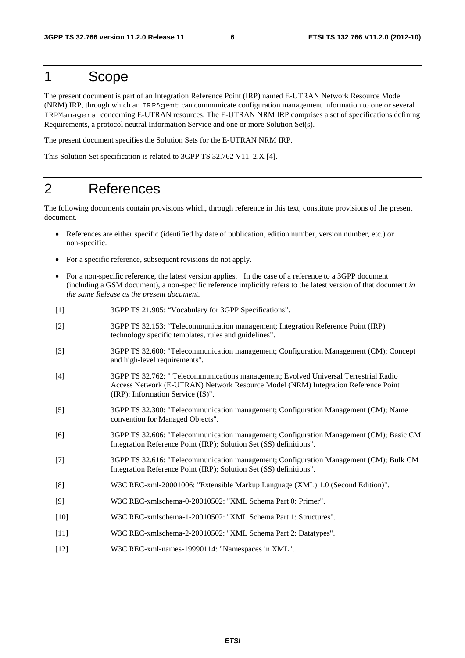### 1 Scope

The present document is part of an Integration Reference Point (IRP) named E-UTRAN Network Resource Model (NRM) IRP, through which an IRPAgent can communicate configuration management information to one or several IRPManagers concerning E-UTRAN resources. The E-UTRAN NRM IRP comprises a set of specifications defining Requirements, a protocol neutral Information Service and one or more Solution Set(s).

The present document specifies the Solution Sets for the E-UTRAN NRM IRP.

This Solution Set specification is related to 3GPP TS 32.762 V11. 2.X [4].

## 2 References

The following documents contain provisions which, through reference in this text, constitute provisions of the present document.

- References are either specific (identified by date of publication, edition number, version number, etc.) or non-specific.
- For a specific reference, subsequent revisions do not apply.
- For a non-specific reference, the latest version applies. In the case of a reference to a 3GPP document (including a GSM document), a non-specific reference implicitly refers to the latest version of that document *in the same Release as the present document*.
- [1] 3GPP TS 21.905: "Vocabulary for 3GPP Specifications".
- [2] 3GPP TS 32.153: "Telecommunication management; Integration Reference Point (IRP) technology specific templates, rules and guidelines".
- [3] 3GPP TS 32.600: "Telecommunication management; Configuration Management (CM); Concept and high-level requirements".
- [4] 3GPP TS 32.762: " Telecommunications management; Evolved Universal Terrestrial Radio Access Network (E-UTRAN) Network Resource Model (NRM) Integration Reference Point (IRP): Information Service (IS)".
- [5] 3GPP TS 32.300: "Telecommunication management; Configuration Management (CM); Name convention for Managed Objects".
- [6] 3GPP TS 32.606: "Telecommunication management; Configuration Management (CM); Basic CM Integration Reference Point (IRP); Solution Set (SS) definitions".
- [7] 3GPP TS 32.616: "Telecommunication management; Configuration Management (CM); Bulk CM Integration Reference Point (IRP); Solution Set (SS) definitions".
- [8] W3C REC-xml-20001006: "Extensible Markup Language (XML) 1.0 (Second Edition)".
- [9] W3C REC-xmlschema-0-20010502: "XML Schema Part 0: Primer".
- [10] W3C REC-xmlschema-1-20010502: "XML Schema Part 1: Structures".
- [11] W3C REC-xmlschema-2-20010502: "XML Schema Part 2: Datatypes".
- [12] W3C REC-xml-names-19990114: "Namespaces in XML".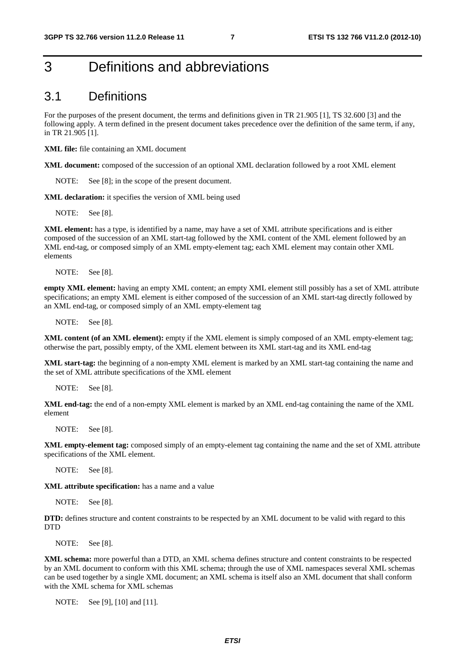## 3 Definitions and abbreviations

#### 3.1 Definitions

For the purposes of the present document, the terms and definitions given in TR 21.905 [1], TS 32.600 [3] and the following apply. A term defined in the present document takes precedence over the definition of the same term, if any, in TR 21.905 [1].

**XML file:** file containing an XML document

**XML document:** composed of the succession of an optional XML declaration followed by a root XML element

NOTE: See [8]; in the scope of the present document.

**XML declaration:** it specifies the version of XML being used

NOTE: See [8].

**XML element:** has a type, is identified by a name, may have a set of XML attribute specifications and is either composed of the succession of an XML start-tag followed by the XML content of the XML element followed by an XML end-tag, or composed simply of an XML empty-element tag; each XML element may contain other XML elements

NOTE: See [8].

**empty XML element:** having an empty XML content; an empty XML element still possibly has a set of XML attribute specifications; an empty XML element is either composed of the succession of an XML start-tag directly followed by an XML end-tag, or composed simply of an XML empty-element tag

NOTE: See [8].

**XML content (of an XML element):** empty if the XML element is simply composed of an XML empty-element tag; otherwise the part, possibly empty, of the XML element between its XML start-tag and its XML end-tag

**XML start-tag:** the beginning of a non-empty XML element is marked by an XML start-tag containing the name and the set of XML attribute specifications of the XML element

NOTE: See [8].

**XML end-tag:** the end of a non-empty XML element is marked by an XML end-tag containing the name of the XML element

NOTE: See [8].

**XML empty-element tag:** composed simply of an empty-element tag containing the name and the set of XML attribute specifications of the XML element.

NOTE: See [8].

**XML attribute specification:** has a name and a value

NOTE: See [8].

**DTD:** defines structure and content constraints to be respected by an XML document to be valid with regard to this DTD

NOTE: See [8].

**XML schema:** more powerful than a DTD, an XML schema defines structure and content constraints to be respected by an XML document to conform with this XML schema; through the use of XML namespaces several XML schemas can be used together by a single XML document; an XML schema is itself also an XML document that shall conform with the XML schema for XML schemas

NOTE: See [9], [10] and [11].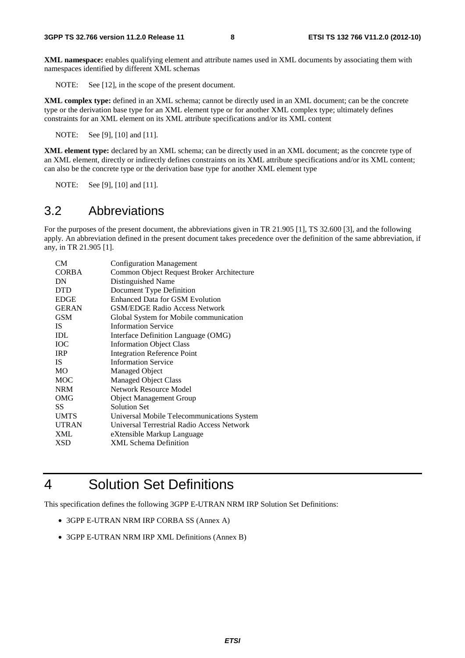**XML namespace:** enables qualifying element and attribute names used in XML documents by associating them with namespaces identified by different XML schemas

NOTE: See [12], in the scope of the present document.

**XML complex type:** defined in an XML schema; cannot be directly used in an XML document; can be the concrete type or the derivation base type for an XML element type or for another XML complex type; ultimately defines constraints for an XML element on its XML attribute specifications and/or its XML content

NOTE: See [9], [10] and [11].

**XML element type:** declared by an XML schema; can be directly used in an XML document; as the concrete type of an XML element, directly or indirectly defines constraints on its XML attribute specifications and/or its XML content; can also be the concrete type or the derivation base type for another XML element type

NOTE: See [9], [10] and [11].

### 3.2 Abbreviations

For the purposes of the present document, the abbreviations given in TR 21.905 [1], TS 32.600 [3], and the following apply. An abbreviation defined in the present document takes precedence over the definition of the same abbreviation, if any, in TR 21.905 [1].

| CМ           | <b>Configuration Management</b>            |
|--------------|--------------------------------------------|
| <b>CORBA</b> | Common Object Request Broker Architecture  |
| DN           | Distinguished Name                         |
| <b>DTD</b>   | Document Type Definition                   |
| <b>EDGE</b>  | <b>Enhanced Data for GSM Evolution</b>     |
| <b>GERAN</b> | <b>GSM/EDGE Radio Access Network</b>       |
| <b>GSM</b>   | Global System for Mobile communication     |
| <b>IS</b>    | <b>Information Service</b>                 |
| <b>IDL</b>   | Interface Definition Language (OMG)        |
| <b>IOC</b>   | <b>Information Object Class</b>            |
| <b>IRP</b>   | <b>Integration Reference Point</b>         |
| IS.          | <b>Information Service</b>                 |
| <b>MO</b>    | Managed Object                             |
| <b>MOC</b>   | <b>Managed Object Class</b>                |
| <b>NRM</b>   | <b>Network Resource Model</b>              |
| OMG          | <b>Object Management Group</b>             |
| SS           | <b>Solution Set</b>                        |
| <b>UMTS</b>  | Universal Mobile Telecommunications System |
| <b>UTRAN</b> | Universal Terrestrial Radio Access Network |
| XML          | eXtensible Markup Language                 |
| XSD          | <b>XML Schema Definition</b>               |
|              |                                            |

## 4 Solution Set Definitions

This specification defines the following 3GPP E-UTRAN NRM IRP Solution Set Definitions:

- 3GPP E-UTRAN NRM IRP CORBA SS (Annex A)
- 3GPP E-UTRAN NRM IRP XML Definitions (Annex B)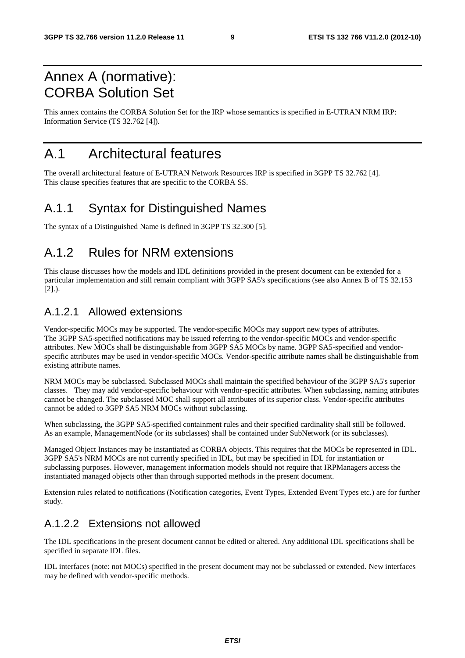## Annex A (normative): CORBA Solution Set

This annex contains the CORBA Solution Set for the IRP whose semantics is specified in E-UTRAN NRM IRP: Information Service (TS 32.762 [4]).

## A.1 Architectural features

The overall architectural feature of E-UTRAN Network Resources IRP is specified in 3GPP TS 32.762 [4]. This clause specifies features that are specific to the CORBA SS.

### A.1.1 Syntax for Distinguished Names

The syntax of a Distinguished Name is defined in 3GPP TS 32.300 [5].

### A.1.2 Rules for NRM extensions

This clause discusses how the models and IDL definitions provided in the present document can be extended for a particular implementation and still remain compliant with 3GPP SA5's specifications (see also Annex B of TS 32.153  $[2]$ .).

#### A.1.2.1 Allowed extensions

Vendor-specific MOCs may be supported. The vendor-specific MOCs may support new types of attributes. The 3GPP SA5-specified notifications may be issued referring to the vendor-specific MOCs and vendor-specific attributes. New MOCs shall be distinguishable from 3GPP SA5 MOCs by name. 3GPP SA5-specified and vendorspecific attributes may be used in vendor-specific MOCs. Vendor-specific attribute names shall be distinguishable from existing attribute names.

NRM MOCs may be subclassed. Subclassed MOCs shall maintain the specified behaviour of the 3GPP SA5's superior classes. They may add vendor-specific behaviour with vendor-specific attributes. When subclassing, naming attributes cannot be changed. The subclassed MOC shall support all attributes of its superior class. Vendor-specific attributes cannot be added to 3GPP SA5 NRM MOCs without subclassing.

When subclassing, the 3GPP SA5-specified containment rules and their specified cardinality shall still be followed. As an example, ManagementNode (or its subclasses) shall be contained under SubNetwork (or its subclasses).

Managed Object Instances may be instantiated as CORBA objects. This requires that the MOCs be represented in IDL. 3GPP SA5's NRM MOCs are not currently specified in IDL, but may be specified in IDL for instantiation or subclassing purposes. However, management information models should not require that IRPManagers access the instantiated managed objects other than through supported methods in the present document.

Extension rules related to notifications (Notification categories, Event Types, Extended Event Types etc.) are for further study.

#### A.1.2.2 Extensions not allowed

The IDL specifications in the present document cannot be edited or altered. Any additional IDL specifications shall be specified in separate IDL files.

IDL interfaces (note: not MOCs) specified in the present document may not be subclassed or extended. New interfaces may be defined with vendor-specific methods.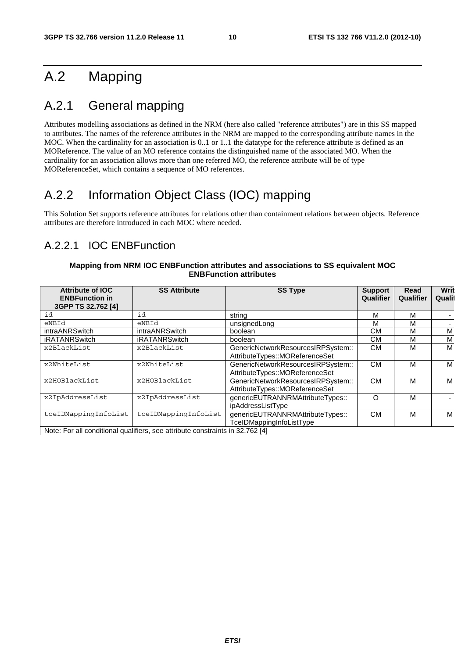## A.2 Mapping

## A.2.1 General mapping

Attributes modelling associations as defined in the NRM (here also called "reference attributes") are in this SS mapped to attributes. The names of the reference attributes in the NRM are mapped to the corresponding attribute names in the MOC. When the cardinality for an association is 0..1 or 1..1 the datatype for the reference attribute is defined as an MOReference. The value of an MO reference contains the distinguished name of the associated MO. When the cardinality for an association allows more than one referred MO, the reference attribute will be of type MOReferenceSet, which contains a sequence of MO references.

## A.2.2 Information Object Class (IOC) mapping

This Solution Set supports reference attributes for relations other than containment relations between objects. Reference attributes are therefore introduced in each MOC where needed.

### A.2.2.1 IOC ENBFunction

#### **Mapping from NRM IOC ENBFunction attributes and associations to SS equivalent MOC ENBFunction attributes**

| <b>Attribute of IOC</b><br><b>ENBFunction in</b> | <b>SS Attribute</b>                                                           | <b>SS Type</b>                     | <b>Support</b><br>Qualifier | Read<br>Qualifier | Writ<br>Qualit |
|--------------------------------------------------|-------------------------------------------------------------------------------|------------------------------------|-----------------------------|-------------------|----------------|
| 3GPP TS 32.762 [4]                               |                                                                               |                                    |                             |                   |                |
| id                                               | id                                                                            | string                             | M                           | M                 |                |
| eNBId                                            | eNBId                                                                         | unsignedLong                       | M                           | M                 |                |
| intraANRSwitch                                   | intraANRSwitch                                                                | boolean                            | CМ                          | M                 | M              |
| <b>iRATANRSwitch</b>                             | <b>iRATANRSwitch</b>                                                          | boolean                            | CМ                          | M                 | M              |
| x2BlackList                                      | x2BlackList                                                                   | GenericNetworkResourcesIRPSystem:: | CM.                         | M                 | М              |
|                                                  |                                                                               | AttributeTypes::MOReferenceSet     |                             |                   |                |
| x2WhiteList                                      | x2WhiteList                                                                   | GenericNetworkResourcesIRPSystem:: | <b>CM</b>                   | M                 | м              |
|                                                  |                                                                               | AttributeTypes::MOReferenceSet     |                             |                   |                |
| x2HOBlackList                                    | x2HOBlackList                                                                 | GenericNetworkResourcesIRPSystem:: | <b>CM</b>                   | M                 | м              |
|                                                  |                                                                               | AttributeTypes::MOReferenceSet     |                             |                   |                |
| x2IpAddressList                                  | x2IpAddressList                                                               | genericEUTRANNRMAttributeTypes::   | O                           | M                 |                |
|                                                  |                                                                               | ipAddressListTvpe                  |                             |                   |                |
| tceIDMappingInfoList                             | tceIDMappingInfoList                                                          | genericEUTRANNRMAttributeTypes::   | CМ                          | M                 | М              |
|                                                  |                                                                               | TceIDMappingInfoListType           |                             |                   |                |
|                                                  | Note: For all conditional qualifiers, see attribute constraints in 32.762 [4] |                                    |                             |                   |                |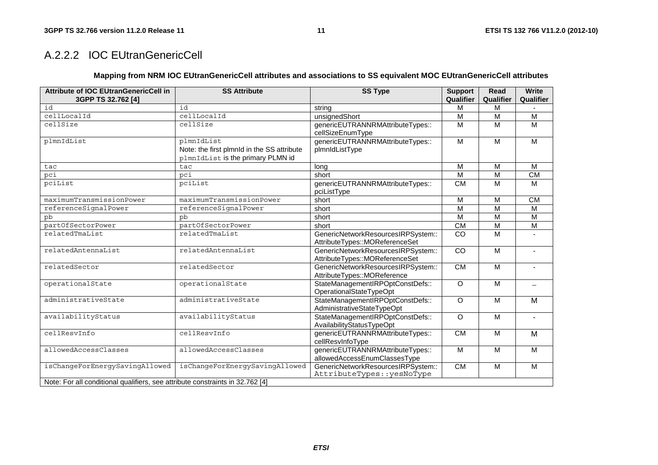### A.2.2.2 IOC EUtranGenericCell

#### **Mapping from NRM IOC EUtranGenericCell attributes and associations to SS equivalent MOC EUtranGenericCell attributes**

| Attribute of IOC EUtranGenericCell in<br>3GPP TS 32.762 [4]                   | <b>SS Attribute</b><br><b>SS Type</b>                                                         |                                                                      | <b>Support</b><br>Qualifier | Read<br>Qualifier | Write<br>Qualifier |
|-------------------------------------------------------------------------------|-----------------------------------------------------------------------------------------------|----------------------------------------------------------------------|-----------------------------|-------------------|--------------------|
| id                                                                            | id                                                                                            | string                                                               | M                           | M                 |                    |
| cellLocalId                                                                   | cellLocalId                                                                                   | unsignedShort                                                        | $\overline{M}$              | $\overline{M}$    | M                  |
| cellSize                                                                      | cellSize                                                                                      | genericEUTRANNRMAttributeTypes::<br>cellSizeEnumType                 | M                           | M                 | M                  |
| plmnIdList                                                                    | plmnIdList<br>Note: the first plmnld in the SS attribute<br>plmnIdList is the primary PLMN id | genericEUTRANNRMAttributeTypes::<br>plmnldListType                   | M                           | M                 | M                  |
| tac                                                                           | tac                                                                                           | long                                                                 | M                           | M                 | M                  |
| pci                                                                           | pci                                                                                           | short                                                                | $\overline{M}$              | $\overline{M}$    | <b>CM</b>          |
| pciList                                                                       | pciList                                                                                       | genericEUTRANNRMAttributeTypes::<br>pciListType                      | CM                          | $\overline{M}$    | M                  |
| maximumTransmissionPower                                                      | maximumTransmissionPower                                                                      | short                                                                | M                           | M                 | <b>CM</b>          |
| referenceSignalPower                                                          | referenceSignalPower                                                                          | short                                                                | M                           | $\overline{M}$    | M                  |
| pb                                                                            | pb                                                                                            | short                                                                | M                           | M                 | $\overline{M}$     |
| partOfSectorPower                                                             | partOfSectorPower                                                                             | short                                                                | CM                          | $\overline{M}$    | M                  |
| relatedTmaList                                                                | relatedTmaList                                                                                | GenericNetworkResourcesIRPSystem::<br>AttributeTypes::MOReferenceSet | CO                          | M                 |                    |
| relatedAntennaList                                                            | relatedAntennaList                                                                            | GenericNetworkResourcesIRPSystem::<br>AttributeTypes::MOReferenceSet | $\overline{co}$             | $\overline{M}$    |                    |
| relatedSector                                                                 | relatedSector                                                                                 | GenericNetworkResourcesIRPSystem::<br>AttributeTypes::MOReference    | <b>CM</b>                   | M                 |                    |
| operationalState                                                              | operationalState                                                                              | StateManagementIRPOptConstDefs::<br>OperationalStateTypeOpt          | $\circ$                     | M                 |                    |
| administrativeState                                                           | administrativeState                                                                           | StateManagementIRPOptConstDefs::<br>AdministrativeStateTypeOpt       | O                           | M                 | M                  |
| availabilityStatus                                                            | availabilityStatus                                                                            | StateManagementIRPOptConstDefs::<br>AvailabilityStatusTypeOpt        | O                           | M                 | $\blacksquare$     |
| cellResvInfo                                                                  | cellResvInfo                                                                                  | genericEUTRANNRMAttributeTypes::<br>cellResvInfoType                 | <b>CM</b>                   | M                 | M                  |
| allowedAccessClasses                                                          | allowedAccessClasses                                                                          | genericEUTRANNRMAttributeTypes::<br>allowedAccessEnumClassesType     | M                           | M                 | M                  |
| isChangeForEnergySavingAllowed                                                | isChangeForEnergySavingAllowed                                                                | GenericNetworkResourcesIRPSystem::<br>AttributeTypes:: yesNoType     | <b>CM</b>                   | M                 | M                  |
| Note: For all conditional qualifiers, see attribute constraints in 32.762 [4] |                                                                                               |                                                                      |                             |                   |                    |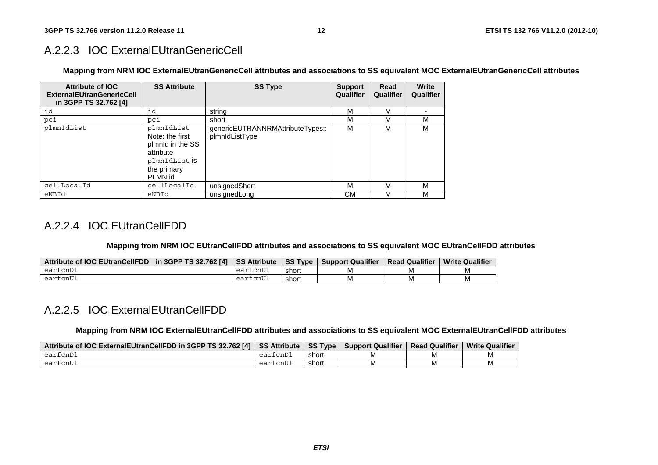### A.2.2.3 IOC ExternalEUtranGenericCell

**Mapping from NRM IOC ExternalEUtranGenericCell attributes and associations to SS equivalent MOC ExternalEUtranGenericCell attributes** 

| <b>Attribute of IOC</b><br><b>ExternalEUtranGenericCell</b><br>in 3GPP TS 32.762 [4] | <b>SS Attribute</b>                                                                                       | <b>SS Type</b>                                     | <b>Support</b><br>Qualifier | Read<br>Qualifier | Write<br>Qualifier |
|--------------------------------------------------------------------------------------|-----------------------------------------------------------------------------------------------------------|----------------------------------------------------|-----------------------------|-------------------|--------------------|
| id                                                                                   | id                                                                                                        | string                                             | M                           | M                 |                    |
| pci                                                                                  | pci                                                                                                       | short                                              | М                           | М                 | М                  |
| plmnIdList                                                                           | plmnIdList<br>Note: the first<br>plmnld in the SS<br>attribute<br>plmnIdList is<br>the primary<br>PLMN id | genericEUTRANNRMAttributeTypes::<br>plmnldListType | M                           | M                 | M                  |
| cellLocalId                                                                          | cellLocalId                                                                                               | unsignedShort                                      | M                           | M                 | M                  |
| eNBId                                                                                | eNBId                                                                                                     | unsianedLona                                       | CМ                          | M                 | М                  |

### A.2.2.4 IOC EUtranCellFDD

**Mapping from NRM IOC EUtranCellFDD attributes and associations to SS equivalent MOC EUtranCellFDD attributes** 

| in 3GPP TS 32.762 [4] $\mid$ SS Attribute $\mid$ SS Type $\mid$<br><b>Attribute of IOC EUtranCellFDD</b> |          |       | <b>Support Qualifier</b> | <b>Read Qualifier</b> | <b>Write Qualifier</b> |
|----------------------------------------------------------------------------------------------------------|----------|-------|--------------------------|-----------------------|------------------------|
| earfcnDl                                                                                                 | earfcnDl | short |                          |                       | м                      |
| earfcnU.                                                                                                 | earfcnUl | short |                          |                       | м                      |

### A.2.2.5 IOC ExternalEUtranCellFDD

**Mapping from NRM IOC ExternalEUtranCellFDD attributes and associations to SS equivalent MOC ExternalEUtranCellFDD attributes** 

| <b>Nattribute of IOC ExternalEUtranCelIFDD in 3GPP TS 32.762 [4]   SS Attribute</b> |          | <b>SS Type</b> | <b>Support Qualifier</b> | <b>Read Qualifier</b> | <b>Write Qualifier</b> |
|-------------------------------------------------------------------------------------|----------|----------------|--------------------------|-----------------------|------------------------|
| earfcnD.                                                                            | earfcnD. | short          | ιvι                      |                       |                        |
| earfcnU.                                                                            | earfcnU  | shon           | ΙVΙ                      | ιvι                   |                        |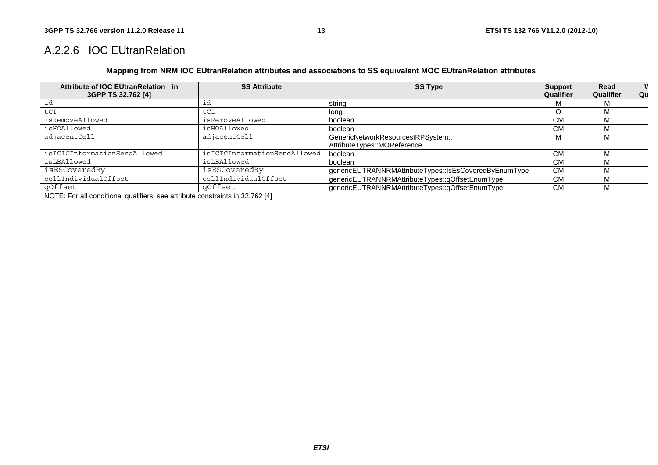### A.2.2.6 IOC EUtranRelation

#### **Mapping from NRM IOC EUtranRelation attributes and associations to SS equivalent MOC EUtranRelation attributes**

| Attribute of IOC EUtranRelation in<br>3GPP TS 32.762 [4]                      | <b>SS Attribute</b>          | <b>SS Type</b>                                                    | <b>Support</b><br>Qualifier | Read<br>Qualifier | Qu |
|-------------------------------------------------------------------------------|------------------------------|-------------------------------------------------------------------|-----------------------------|-------------------|----|
| id                                                                            | id                           | string                                                            |                             | M                 |    |
| tCI                                                                           | tCI                          | long                                                              |                             | M                 |    |
| isRemoveAllowed                                                               | isRemoveAllowed              | boolean                                                           | CМ                          | M                 |    |
| isHOAllowed                                                                   | isHOAllowed                  | boolean                                                           | <b>CM</b>                   | M                 |    |
| adjacentCell                                                                  | adjacentCell                 | GenericNetworkResourcesIRPSystem::<br>AttributeTypes::MOReference | М                           | M                 |    |
| isICICInformationSendAllowed                                                  | isICICInformationSendAllowed | boolean                                                           | <b>CM</b>                   | M                 |    |
| isLBAllowed                                                                   | isLBAllowed                  | boolean                                                           | CМ                          | M                 |    |
| isESCoveredBy                                                                 | isESCoveredBy                | genericEUTRANNRMAttributeTypes::IsEsCoveredByEnumType             | <b>CM</b>                   | M                 |    |
| cellIndividualOffset                                                          | cellIndividualOffset         | genericEUTRANNRMAttributeTypes::gOffsetEnumType                   | <b>CM</b>                   | M                 |    |
| qOffset                                                                       | qOffset                      | genericEUTRANNRMAttributeTypes::gOffsetEnumType                   | <b>CM</b>                   | M                 |    |
| NOTE: For all conditional qualifiers, see attribute constraints in 32.762 [4] |                              |                                                                   |                             |                   |    |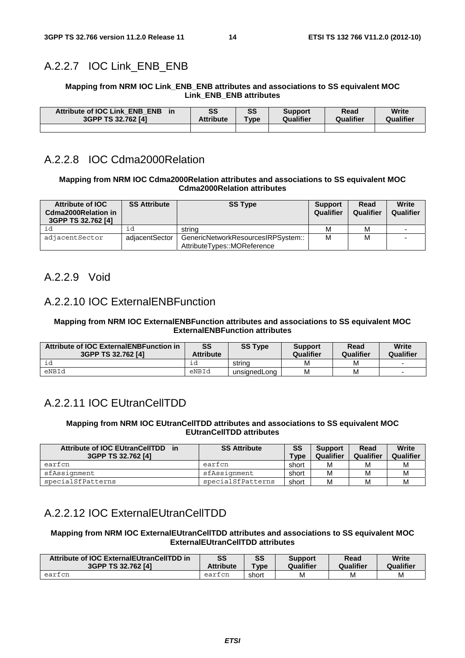#### A.2.2.7 IOC Link\_ENB\_ENB

#### **Mapping from NRM IOC Link\_ENB\_ENB attributes and associations to SS equivalent MOC Link\_ENB\_ENB attributes**

| <b>Attribute of IOC Link ENB ENB</b> | SS               | SS                  | <b>Support</b> | Read      | <b>Write</b> |
|--------------------------------------|------------------|---------------------|----------------|-----------|--------------|
| 3GPP TS 32.762 [4]                   | <b>Attribute</b> | $^{\mathsf{r}}$ ype | Qualifier      | Qualifier | Qualifier    |
|                                      |                  |                     |                |           |              |

#### A.2.2.8 IOC Cdma2000Relation

#### **Mapping from NRM IOC Cdma2000Relation attributes and associations to SS equivalent MOC Cdma2000Relation attributes**

| <b>Attribute of IOC</b><br><b>Cdma2000Relation in</b><br>3GPP TS 32.762 [4] | <b>SS Attribute</b> | <b>SS Type</b>                                                    | <b>Support</b><br>Qualifier | Read<br>Qualifier | Write<br>Qualifier |
|-----------------------------------------------------------------------------|---------------------|-------------------------------------------------------------------|-----------------------------|-------------------|--------------------|
|                                                                             | ıd                  | string                                                            | м                           | м                 |                    |
| adjacentSector                                                              | adjacentSector      | GenericNetworkResourcesIRPSystem::<br>AttributeTypes::MOReference | M                           | M                 |                    |

#### A.2.2.9 Void

#### A.2.2.10 IOC ExternalENBFunction

#### **Mapping from NRM IOC ExternalENBFunction attributes and associations to SS equivalent MOC ExternalENBFunction attributes**

| Attribute of IOC ExternalENBFunction in<br>3GPP TS 32.762 [4] | SS<br><b>Attribute</b> | <b>SS Type</b> | <b>Support</b><br>Qualifier | Read<br>Qualifier | Write<br>Qualifier |
|---------------------------------------------------------------|------------------------|----------------|-----------------------------|-------------------|--------------------|
|                                                               |                        | string         | М                           | М                 |                    |
| eNBId                                                         | eNBId                  | unsignedLong   | M                           | М                 |                    |

#### A.2.2.11 IOC EUtranCellTDD

#### **Mapping from NRM IOC EUtranCellTDD attributes and associations to SS equivalent MOC EUtranCellTDD attributes**

| Attribute of IOC EUtranCellTDD in<br>3GPP TS 32.762 [4] | <b>SS Attribute</b> | SS<br><b>Type</b> | <b>Support</b><br>Qualifier | Read<br>Qualifier | Write<br>Qualifier |
|---------------------------------------------------------|---------------------|-------------------|-----------------------------|-------------------|--------------------|
| earfcn                                                  | earfcn              | short             | M                           | M                 | M                  |
| sfAssignment                                            | sfAssignment        | short             | м                           | М                 | M                  |
| specialSfPatterns                                       | specialSfPatterns   | short             | М                           | M                 | M                  |

#### A.2.2.12 IOC ExternalEUtranCellTDD

**Mapping from NRM IOC ExternalEUtranCellTDD attributes and associations to SS equivalent MOC ExternalEUtranCellTDD attributes** 

| Attribute of IOC External EUtran Cell TDD in | SS        | SS      | <b>Support</b> | Read      | Write     |
|----------------------------------------------|-----------|---------|----------------|-----------|-----------|
| 3GPP TS 32.762 [4]                           | Attribute | $T$ vpe | Qualifier      | Qualifier | Qualifier |
| earfcn                                       | eartcn    | short   | М              |           | м         |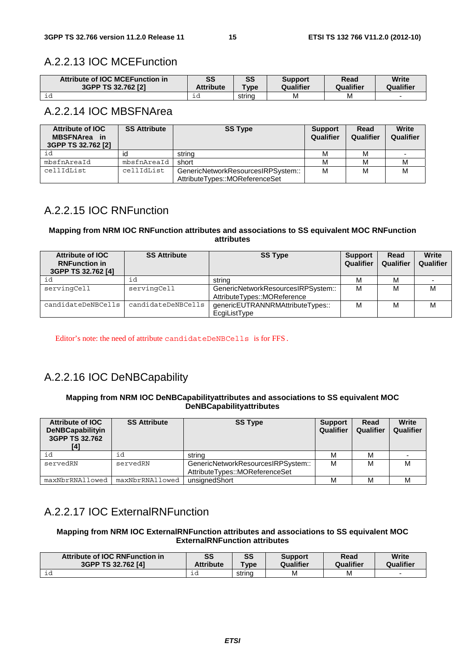### A.2.2.13 IOC MCEFunction

| Attribute of IOC MCEFunction in | SS        | SS      | <b>Support</b> | Read      | Write     |
|---------------------------------|-----------|---------|----------------|-----------|-----------|
| 3GPP TS 32.762 [2]              | Attribute | $T$ ype | Qualifier      | Qualifier | Qualifier |
|                                 | ıd        | string  | м              | М         |           |

### A.2.2.14 IOC MBSFNArea

| <b>Attribute of IOC</b><br><b>MBSFNArea</b> in<br>3GPP TS 32.762 [2] | <b>SS Attribute</b> | <b>SS Type</b>                                                       | <b>Support</b><br>Qualifier | Read<br>Qualifier | Write<br>Qualifier |
|----------------------------------------------------------------------|---------------------|----------------------------------------------------------------------|-----------------------------|-------------------|--------------------|
|                                                                      | ıd                  | strina                                                               | М                           | М                 |                    |
| mbsfnAreaId                                                          | mbsfnAreaId         | short                                                                | М                           | М                 | М                  |
| cellIdList                                                           | cellIdList          | GenericNetworkResourcesIRPSystem::<br>AttributeTypes::MOReferenceSet | M                           | М                 | М                  |

### A.2.2.15 IOC RNFunction

#### **Mapping from NRM IOC RNFunction attributes and associations to SS equivalent MOC RNFunction attributes**

| <b>Attribute of IOC</b><br><b>RNFunction in</b><br>3GPP TS 32.762 [4] | <b>SS Attribute</b> | <b>SS Type</b>                                                    | <b>Support</b><br>Qualifier | Read<br>Qualifier | Write<br><b>Qualifier</b> |
|-----------------------------------------------------------------------|---------------------|-------------------------------------------------------------------|-----------------------------|-------------------|---------------------------|
| id                                                                    | id                  | string                                                            | м                           | м                 |                           |
| servingCell                                                           | servingCell         | GenericNetworkResourcesIRPSystem::<br>AttributeTypes::MOReference | M                           | м                 | M                         |
| candidateDeNBCells                                                    | candidateDeNBCells  | genericEUTRANNRMAttributeTypes::                                  | м                           | м                 | M                         |
|                                                                       |                     | EcgiListType                                                      |                             |                   |                           |

Editor's note: the need of attribute candidateDeNBCells is for FFS.

### A.2.2.16 IOC DeNBCapability

#### **Mapping from NRM IOC DeNBCapabilityattributes and associations to SS equivalent MOC DeNBCapabilityattributes**

| Attribute of IOC<br><b>DeNBCapabilityin</b><br>3GPP TS 32.762<br>[4] | <b>SS Attribute</b> | <b>SS Type</b>                                                       | <b>Support</b><br>Qualifier | Read<br>Qualifier | Write<br>Qualifier |
|----------------------------------------------------------------------|---------------------|----------------------------------------------------------------------|-----------------------------|-------------------|--------------------|
| id                                                                   | id                  | string                                                               | M                           | м                 |                    |
| servedRN                                                             | servedRN            | GenericNetworkResourcesIRPSystem::<br>AttributeTypes::MOReferenceSet | M                           | M                 | М                  |
| maxNbrRNAllowed                                                      | maxNbrRNAllowed     | unsignedShort                                                        | M                           | М                 | М                  |

## A.2.2.17 IOC ExternalRNFunction

#### **Mapping from NRM IOC ExternalRNFunction attributes and associations to SS equivalent MOC ExternalRNFunction attributes**

| Attribute of IOC RNFunction in | SS               | SS      | <b>Support</b> | Read      | Write     |
|--------------------------------|------------------|---------|----------------|-----------|-----------|
| 3GPP TS 32.762 [4]             | <b>Attribute</b> | $T$ ype | Qualifier      | Qualifier | Qualifier |
|                                | ⊥u               | strina  | M              | М         |           |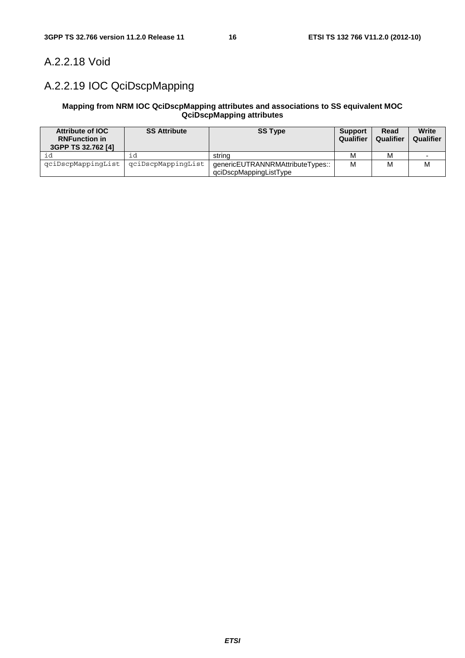### A.2.2.18 Void

## A.2.2.19 IOC QciDscpMapping

#### **Mapping from NRM IOC QciDscpMapping attributes and associations to SS equivalent MOC QciDscpMapping attributes**

| Attribute of IOC<br><b>RNFunction in</b><br>3GPP TS 32.762 [4] | <b>SS Attribute</b> | <b>SS Type</b>                                             | <b>Support</b><br>Qualifier | Read<br>Qualifier | Write<br>Qualifier |
|----------------------------------------------------------------|---------------------|------------------------------------------------------------|-----------------------------|-------------------|--------------------|
|                                                                | ıd                  | strina                                                     | м                           | м                 |                    |
| qciDscpMappingList                                             | qciDscpMappinqList  | genericEUTRANNRMAttributeTypes::<br>qciDscpMappingListType | M                           | M                 | M                  |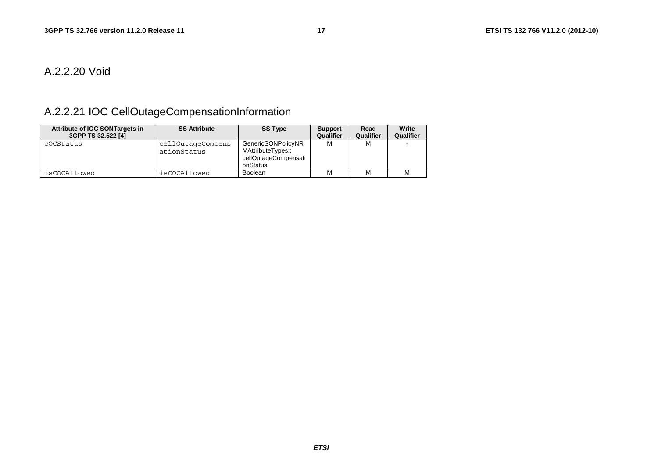#### A.2.2.20 Void

## A.2.2.21 IOC CellOutageCompensationInformation

| Attribute of IOC SONTargets in<br>3GPP TS 32.522 [4] | <b>SS Attribute</b>              | <b>SS Type</b>                                                              | <b>Support</b><br>Qualifier | Read<br>Qualifier | Write<br>Qualifier |
|------------------------------------------------------|----------------------------------|-----------------------------------------------------------------------------|-----------------------------|-------------------|--------------------|
| cOCStatus                                            | cellOutageCompens<br>ationStatus | GenericSONPolicyNR<br>MAttributeTypes::<br>cellOutageCompensati<br>onStatus | м                           | м                 |                    |
| isCOCAllowed                                         | isCOCAllowed                     | <b>Boolean</b>                                                              |                             | М                 | м                  |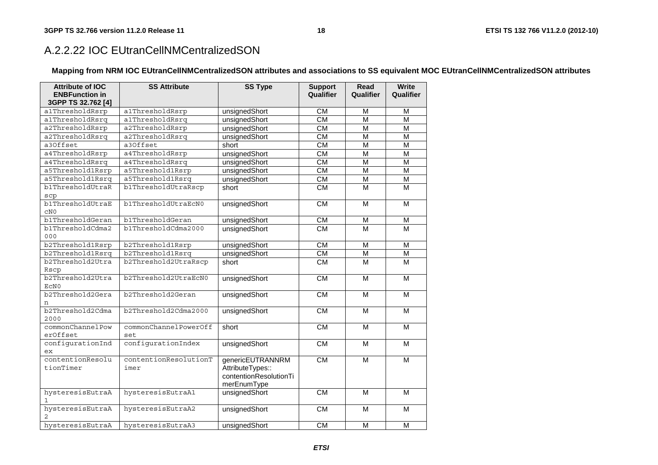### A.2.2.22 IOC EUtranCellNMCentralizedSON

#### **Mapping from NRM IOC EUtranCellNMCentralizedSON attributes and associations to SS equivalent MOC EUtranCellNMCentralizedSON attributes**

| <b>Attribute of IOC</b><br><b>ENBFunction in</b> | <b>SS Attribute</b>       | <b>SS Type</b>                        | <b>Support</b><br>Qualifier | Read<br>Qualifier | <b>Write</b><br>Qualifier |
|--------------------------------------------------|---------------------------|---------------------------------------|-----------------------------|-------------------|---------------------------|
| 3GPP TS 32.762 [4]                               |                           |                                       |                             |                   |                           |
| a1ThresholdRsrp                                  | a1ThresholdRsrp           | unsignedShort                         | <b>CM</b>                   | M                 | M                         |
| alThresholdRsrq                                  | alThresholdRsrq           | unsignedShort                         | CM                          | $\overline{M}$    | M                         |
| a2ThresholdRsrp                                  | a2ThresholdRsrp           | unsignedShort                         | $\overline{\text{CM}}$      | $\overline{M}$    | M                         |
| a2ThresholdRsrq                                  | a2ThresholdRsrq           | unsignedShort                         | <b>CM</b>                   | M                 | M                         |
| a3Offset                                         | a3Offset                  | short                                 | CM                          | $\overline{M}$    | M                         |
| a4ThresholdRsrp                                  | a4ThresholdRsrp           | unsignedShort                         | <b>CM</b>                   | M                 | M                         |
| a4ThresholdRsrq                                  | a4ThresholdRsrq           | unsignedShort                         | <b>CM</b>                   | M                 | M                         |
| a5Threshold1Rsrp                                 | a5Threshold1Rsrp          | unsignedShort                         | $\overline{\text{CM}}$      | $\overline{M}$    | M                         |
| a5Threshold1Rsrq                                 | a5Threshold1Rsrq          | unsignedShort                         | $\overline{\text{CM}}$      | $\overline{M}$    | M                         |
| b1ThresholdUtraR                                 | b1ThresholdUtraRscp       | short                                 | <b>CM</b>                   | M                 | м                         |
| scp                                              |                           |                                       |                             |                   |                           |
| b1ThresholdUtraE                                 | b1ThresholdUtraEcN0       | unsignedShort                         | $\overline{\text{CM}}$      | M                 | M                         |
| CNO                                              |                           |                                       |                             |                   |                           |
| b1ThresholdGeran                                 | b1ThresholdGeran          | unsignedShort                         | <b>CM</b>                   | M                 | M                         |
| b1ThresholdCdma2                                 | b1ThresholdCdma2000       | unsignedShort                         | CM                          | M                 | M                         |
| 000                                              |                           |                                       |                             |                   |                           |
| b2Threshold1Rsrp                                 | b2Threshold1Rsrp          | unsignedShort                         | <b>CM</b>                   | M                 | M                         |
| b2Threshold1Rsrq                                 | b2Threshold1Rsrq          | unsignedShort                         | CM                          | M                 | M                         |
| b2Threshold2Utra<br>Rscp                         | b2Threshold2UtraRscp      | short                                 | $\overline{\text{CM}}$      | M                 | M                         |
| b2Threshold2Utra<br>ECN <sub>0</sub>             | b2Threshold2UtraEcN0      | unsignedShort                         | $\overline{\text{CM}}$      | M                 | M                         |
| b2Threshold2Gera<br>n                            | b2Threshold2Geran         | unsignedShort                         | CM                          | M                 | M                         |
| b2Threshold2Cdma                                 | b2Threshold2Cdma2000      | unsignedShort                         | <b>CM</b>                   | M                 | М                         |
| 2000                                             |                           |                                       |                             |                   |                           |
| commonChannelPow                                 | commonChannelPowerOff     | short                                 | <b>CM</b>                   | M                 | M                         |
| erOffset<br>configurationInd                     | set<br>configurationIndex |                                       |                             |                   |                           |
| ex                                               |                           | unsignedShort                         | CM                          | M                 | M                         |
| contentionResolu                                 | contentionResolutionT     | genericEUTRANNRM                      | <b>CM</b>                   | M                 | M                         |
| tionTimer                                        | imer                      | AttributeTypes::                      |                             |                   |                           |
|                                                  |                           | contentionResolutionTi<br>merEnumType |                             |                   |                           |
| hysteresisEutraA<br>$\mathbf{1}$                 | hysteresisEutraA1         | unsignedShort                         | <b>CM</b>                   | M                 | M                         |
| hysteresisEutraA<br>$\overline{2}$               | hysteresisEutraA2         | unsignedShort                         | $\overline{\text{CM}}$      | M                 | M                         |
| hysteresisEutraA                                 | hysteresisEutraA3         | unsignedShort                         | <b>CM</b>                   | M                 | M                         |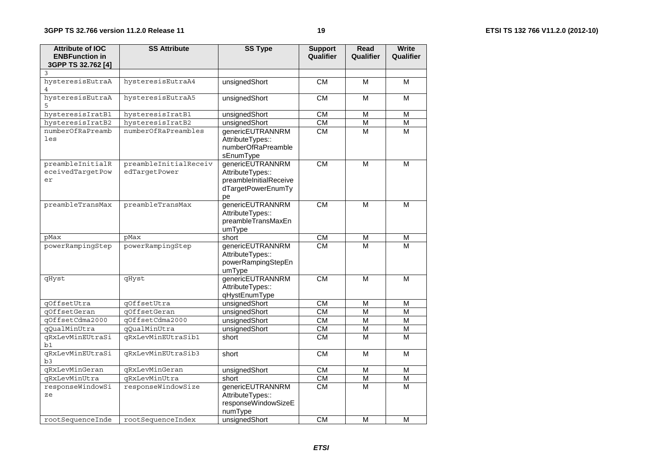| <b>Attribute of IOC</b><br><b>ENBFunction in</b><br>3GPP TS 32.762 [4] | <b>SS Attribute</b>                    | <b>SS Type</b>                                                                             | <b>Support</b><br>Qualifier | Read<br>Qualifier | <b>Write</b><br>Qualifier |
|------------------------------------------------------------------------|----------------------------------------|--------------------------------------------------------------------------------------------|-----------------------------|-------------------|---------------------------|
|                                                                        |                                        |                                                                                            |                             |                   |                           |
| hysteresisEutraA<br>4                                                  | hysteresisEutraA4                      | unsignedShort                                                                              | $\overline{\text{CM}}$      | M                 | M                         |
| hysteresisEutraA<br>5                                                  | hysteresisEutraA5                      | unsignedShort                                                                              | $\overline{\text{CM}}$      | M                 | $\overline{M}$            |
| hysteresisIratB1                                                       | hysteresisIratB1                       | unsignedShort                                                                              | CM                          | M                 | M                         |
| hysteresisIratB2                                                       | hysteresisIratB2                       | unsignedShort                                                                              | CM                          | M                 | M                         |
| numberOfRaPreamb<br>les                                                | numberOfRaPreambles                    | genericEUTRANNRM<br>AttributeTypes::<br>numberOfRaPreamble<br>sEnumType                    | CM                          | $\overline{M}$    | M                         |
| preambleInitialR<br>eceivedTargetPow<br>er                             | preambleInitialReceiv<br>edTargetPower | genericEUTRANNRM<br>AttributeTypes::<br>preambleInitialReceive<br>dTargetPowerEnumTy<br>pe | CM                          | $\overline{M}$    | M                         |
| preambleTransMax                                                       | preambleTransMax                       | genericEUTRANNRM<br>AttributeTypes::<br>preambleTransMaxEn<br>umType                       | CM                          | M                 | м                         |
| pMax                                                                   | pMax                                   | short                                                                                      | <b>CM</b>                   | М                 | M                         |
| powerRampingStep                                                       | powerRampingStep                       | genericEUTRANNRM<br>AttributeTypes::<br>powerRampingStepEn<br>umType                       | <b>CM</b>                   | M                 | M                         |
| qHyst                                                                  | qHyst                                  | genericEUTRANNRM<br>AttributeTypes::<br>qHystEnumType                                      | $\overline{\text{CM}}$      | M                 | M                         |
| qOffsetUtra                                                            | qOffsetUtra                            | unsignedShort                                                                              | <b>CM</b>                   | M                 | M                         |
| qOffsetGeran                                                           | qOffsetGeran                           | unsignedShort                                                                              | <b>CM</b>                   | M                 | M                         |
| qOffsetCdma2000                                                        | qOffsetCdma2000                        | unsignedShort                                                                              | <b>CM</b>                   | M                 | M                         |
| qQualMinUtra                                                           | qQualMinUtra                           | unsignedShort                                                                              | CM                          | M                 | M                         |
| qRxLevMinEUtraSi<br>b1                                                 | qRxLevMinEUtraSib1                     | short                                                                                      | $\overline{\text{CM}}$      | $\overline{M}$    | $\overline{M}$            |
| qRxLevMinEUtraSi<br>b3                                                 | qRxLevMinEUtraSib3                     | short                                                                                      | CM                          | $\overline{M}$    | $\overline{M}$            |
| qRxLevMinGeran                                                         | gRxLevMinGeran                         | unsignedShort                                                                              | <b>CM</b>                   | M                 | M                         |
| qRxLevMinUtra                                                          | qRxLevMinUtra                          | short                                                                                      | CM                          | $\overline{M}$    | $\overline{\mathsf{M}}$   |
| responseWindowSi<br>ze                                                 | responseWindowSize                     | genericEUTRANNRM<br>AttributeTypes::<br>responseWindowSizeE<br>numType                     | CM                          | M                 | M                         |
| rootSequenceInde                                                       | rootSequenceIndex                      | unsignedShort                                                                              | $\overline{\text{CM}}$      | M                 | M                         |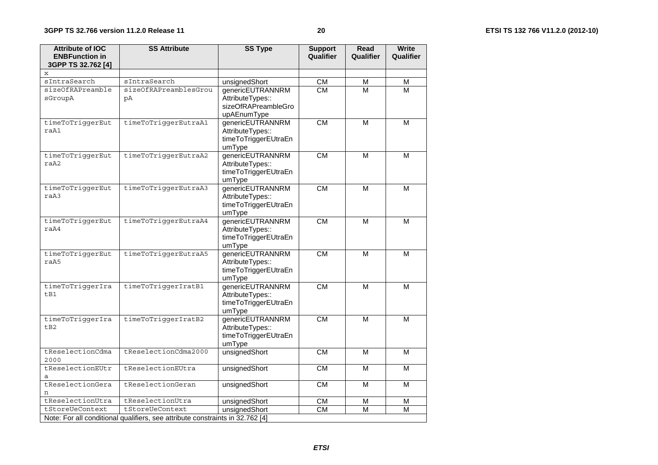| <b>Attribute of IOC</b><br><b>ENBFunction in</b><br>3GPP TS 32.762 [4] | <b>SS Attribute</b>                                                                              | <b>SS Type</b>                           | <b>Support</b><br>Qualifier | Read<br>Qualifier       | <b>Write</b><br>Qualifier |
|------------------------------------------------------------------------|--------------------------------------------------------------------------------------------------|------------------------------------------|-----------------------------|-------------------------|---------------------------|
| $\mathbf x$                                                            |                                                                                                  |                                          |                             |                         |                           |
| sIntraSearch                                                           | sIntraSearch                                                                                     | unsignedShort                            | <b>CM</b>                   | М                       | M                         |
| sizeOfRAPreamble                                                       | sizeOfRAPreamblesGrou                                                                            | genericEUTRANNRM                         | CM                          | М                       | М                         |
| sGroupA                                                                | рA                                                                                               | AttributeTypes::                         |                             |                         |                           |
|                                                                        |                                                                                                  | sizeOfRAPreambleGro                      |                             |                         |                           |
|                                                                        |                                                                                                  | upAEnumType                              |                             |                         |                           |
| timeToTriggerEut                                                       | timeToTriggerEutraA1                                                                             | genericEUTRANNRM                         | $\overline{\text{CM}}$      | $\overline{\mathsf{M}}$ | M                         |
| raA1                                                                   |                                                                                                  | AttributeTypes::                         |                             |                         |                           |
|                                                                        |                                                                                                  | timeToTriggerEUtraEn                     |                             |                         |                           |
|                                                                        |                                                                                                  | umType                                   |                             |                         |                           |
| timeToTriggerEut                                                       | timeToTriggerEutraA2                                                                             | genericEUTRANNRM                         | <b>CM</b>                   | M                       | M                         |
| raA2                                                                   |                                                                                                  | AttributeTypes::                         |                             |                         |                           |
|                                                                        |                                                                                                  | timeToTriggerEUtraEn                     |                             |                         |                           |
|                                                                        |                                                                                                  | umType                                   |                             |                         |                           |
| timeToTriggerEut                                                       | timeToTriggerEutraA3                                                                             | genericEUTRANNRM                         | <b>CM</b>                   | M                       | M                         |
| raA3                                                                   |                                                                                                  | AttributeTypes::                         |                             |                         |                           |
|                                                                        |                                                                                                  | timeToTriggerEUtraEn                     |                             |                         |                           |
|                                                                        |                                                                                                  | umType                                   |                             |                         |                           |
| timeToTriggerEut<br>raA4                                               | timeToTriggerEutraA4                                                                             | genericEUTRANNRM                         | <b>CM</b>                   | M                       | M                         |
|                                                                        |                                                                                                  | AttributeTypes::<br>timeToTriggerEUtraEn |                             |                         |                           |
|                                                                        |                                                                                                  | umType                                   |                             |                         |                           |
| timeToTriggerEut                                                       | timeToTriggerEutraA5                                                                             | genericEUTRANNRM                         | <b>CM</b>                   | M                       | M                         |
| raA5                                                                   |                                                                                                  | AttributeTypes::                         |                             |                         |                           |
|                                                                        |                                                                                                  | timeToTriggerEUtraEn                     |                             |                         |                           |
|                                                                        |                                                                                                  | umType                                   |                             |                         |                           |
| timeToTriggerIra                                                       | timeToTriggerIratB1                                                                              | genericEUTRANNRM                         | <b>CM</b>                   | M                       | M                         |
| tB1                                                                    |                                                                                                  | AttributeTypes::                         |                             |                         |                           |
|                                                                        |                                                                                                  | timeToTriggerEUtraEn                     |                             |                         |                           |
|                                                                        |                                                                                                  | umType                                   |                             |                         |                           |
| timeToTriggerIra                                                       | timeToTriqqerIratB2                                                                              | genericEUTRANNRM                         | <b>CM</b>                   | M                       | M                         |
| tB2                                                                    |                                                                                                  | AttributeTypes::                         |                             |                         |                           |
|                                                                        |                                                                                                  | timeToTriggerEUtraEn                     |                             |                         |                           |
|                                                                        |                                                                                                  | umType                                   |                             |                         |                           |
| tReselectionCdma                                                       | tReselectionCdma2000                                                                             | unsignedShort                            | CM                          | M                       | M                         |
| 2000                                                                   |                                                                                                  |                                          |                             |                         |                           |
| tReselectionEUtr                                                       | tReselectionEUtra                                                                                | unsignedShort                            | <b>CM</b>                   | M                       | M                         |
| a                                                                      |                                                                                                  |                                          |                             |                         |                           |
| tReselectionGera                                                       | tReselectionGeran                                                                                | unsignedShort                            | <b>CM</b>                   | M                       | M                         |
|                                                                        |                                                                                                  |                                          |                             |                         |                           |
| tReselectionUtra                                                       | tReselectionUtra                                                                                 | unsignedShort                            | <b>CM</b>                   | М                       | M                         |
| tStoreUeContext                                                        | tStoreUeContext<br>Note: For all conditional qualifiers, see attribute constraints in 32.762 [4] | unsignedShort                            | <b>CM</b>                   | M                       | М                         |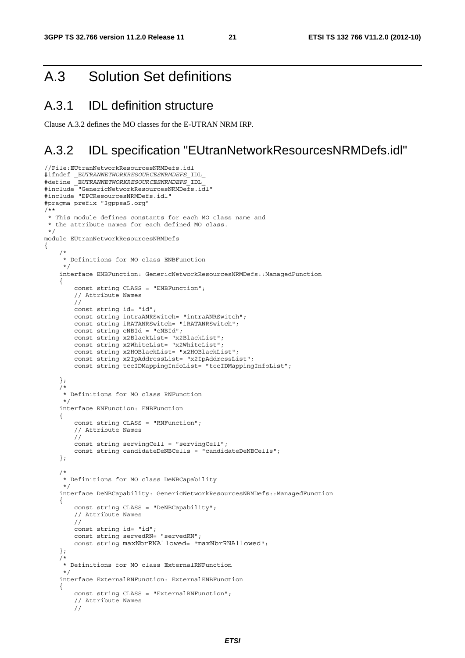## A.3 Solution Set definitions

### A.3.1 IDL definition structure

Clause A.3.2 defines the MO classes for the E-UTRAN NRM IRP.

## A.3.2 IDL specification "EUtranNetworkResourcesNRMDefs.idl"

```
//File:EUtranNetworkResourcesNRMDefs.idl 
#ifndef _EUTRANNETWORKRESOURCESNRMDEFS_IDL_ 
#define _EUTRANNETWORKRESOURCESNRMDEFS_IDL_ 
#include "GenericNetworkResourcesNRMDefs.idl" 
#include "EPCResourcesNRMDefs.idl" 
#pragma prefix "3gppsa5.org" 
/** 
  * This module defines constants for each MO class name and 
  * the attribute names for each defined MO class. 
  */ 
module EUtranNetworkResourcesNRMDefs 
{ 
     /* 
      * Definitions for MO class ENBFunction 
      */ 
    interface ENBFunction: GenericNetworkResourcesNRMDefs: : ManagedFunction
     { 
         const string CLASS = "ENBFunction"; 
         // Attribute Names 
         // 
         const string id= "id"; 
 const string intraANRSwitch= "intraANRSwitch"; 
 const string iRATANRSwitch= "iRATANRSwitch"; 
         const string eNBId = "eNBId"; 
         const string x2BlackList= "x2BlackList"; 
         const string x2WhiteList= "x2WhiteList"; 
         const string x2HOBlackList= "x2HOBlackList"; 
         const string x2IpAddressList= "x2IpAddressList"; 
         const string tceIDMappingInfoList= "tceIDMappingInfoList"; 
     }; 
     /* 
      * Definitions for MO class RNFunction 
      */ 
     interface RNFunction: ENBFunction 
     { 
         const string CLASS = "RNFunction"; 
         // Attribute Names 
         // 
         const string servingCell = "servingCell"; 
         const string candidateDeNBCells = "candidateDeNBCells"; 
     }; 
     /* 
      * Definitions for MO class DeNBCapability 
      */ 
    interface DeNBCapability: GenericNetworkResourcesNRMDefs: : ManagedFunction
     { 
         const string CLASS = "DeNBCapability"; 
         // Attribute Names 
 // 
         const string id= "id"; 
         const string servedRN= "servedRN"; 
         const string maxNbrRNAllowed= "maxNbrRNAllowed"; 
     }; 
     /* 
      * Definitions for MO class ExternalRNFunction 
      */ 
     interface ExternalRNFunction: ExternalENBFunction 
     { 
         const string CLASS = "ExternalRNFunction"; 
         // Attribute Names 
         //
```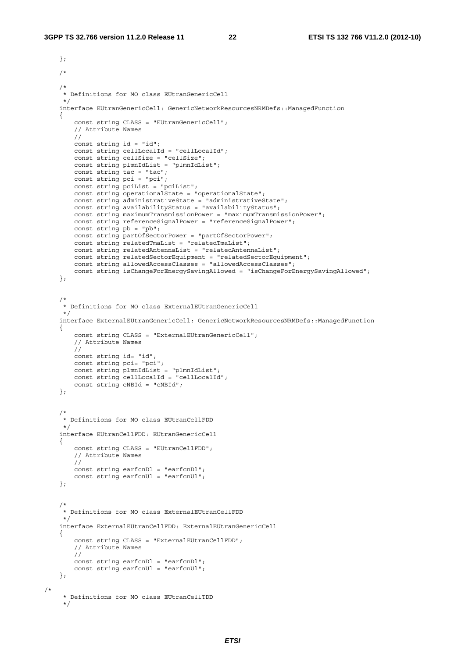/\*

```
 }; 
    /* 
     /* 
     * Definitions for MO class EUtranGenericCell 
     */ 
   interface EUtranGenericCell: GenericNetworkResourcesNRMDefs: ManagedFunction
     { 
         const string CLASS = "EUtranGenericCell"; 
         // Attribute Names 
         // 
         const string id = "id"; 
         const string cellLocalId = "cellLocalId"; 
         const string cellSize = "cellSize"; 
         const string plmnIdList = "plmnIdList"; 
         const string tac = "tac"; 
         const string pci = "pci"; 
         const string pciList = "pciList"; 
         const string operationalState = "operationalState"; 
         const string administrativeState = "administrativeState"; 
         const string availabilityStatus = "availabilityStatus"; 
         const string maximumTransmissionPower = "maximumTransmissionPower"; 
         const string referenceSignalPower = "referenceSignalPower"; 
         const string pb = "pb"; 
         const string partOfSectorPower = "partOfSectorPower"; 
         const string relatedTmaList = "relatedTmaList"; 
         const string relatedAntennaList = "relatedAntennaList"; 
        const string relatedSectorEquipment = "relatedSectorEquipment"; 
         const string allowedAccessClasses = "allowedAccessClasses"; 
         const string isChangeForEnergySavingAllowed = "isChangeForEnergySavingAllowed"; 
    }; 
 /* 
     * Definitions for MO class ExternalEUtranGenericCell 
\star/ interface ExternalEUtranGenericCell: GenericNetworkResourcesNRMDefs::ManagedFunction 
     { 
         const string CLASS = "ExternalEUtranGenericCell"; 
         // Attribute Names 
         // 
        const string id= "id"; 
        const string pci= "pci";
         const string plmnIdList = "plmnIdList"; 
        const string cellLocalId = "cellLocalId"; 
         const string eNBId = "eNBId"; 
    }; 
     /* 
     * Definitions for MO class EUtranCellFDD 
     */ 
    interface EUtranCellFDD: EUtranGenericCell 
    { 
        const string CLASS = "EUtranCellFDD"; 
         // Attribute Names 
         // 
        const string earfcnDl = "earfcnDl"; 
       const string earfcnUl = "earfcnUl";
    }; 
    /* 
     * Definitions for MO class ExternalEUtranCellFDD 
     */ 
    interface ExternalEUtranCellFDD: ExternalEUtranGenericCell 
     { 
         const string CLASS = "ExternalEUtranCellFDD"; 
         // Attribute Names 
         // 
        const string earfcnDl = "earfcnDl"; 
       const string earfcnUl = "earfcnUl";
    }; 
      * Definitions for MO class EUtranCellTDD 
     */
```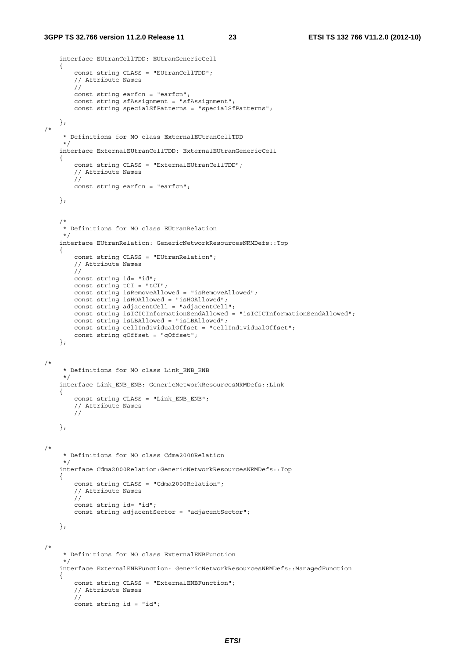```
 interface EUtranCellTDD: EUtranGenericCell 
     { 
         const string CLASS = "EUtranCellTDD"; 
         // Attribute Names 
         // 
         const string earfcn = "earfcn"; 
         const string sfAssignment = "sfAssignment"; 
         const string specialSfPatterns = "specialSfPatterns"; 
    }; 
/* 
      * Definitions for MO class ExternalEUtranCellTDD 
     */ 
     interface ExternalEUtranCellTDD: ExternalEUtranGenericCell 
     { 
         const string CLASS = "ExternalEUtranCellTDD"; 
 // Attribute Names 
 // 
         const string earfcn = "earfcn"; 
     }; 
     /* 
     * Definitions for MO class EUtranRelation 
      */ 
     interface EUtranRelation: GenericNetworkResourcesNRMDefs::Top 
     { 
         const string CLASS = "EUtranRelation"; 
 // Attribute Names 
 // 
         const string id= "id"; 
        const string tCI = "tCI"; const string isRemoveAllowed = "isRemoveAllowed"; 
 const string isHOAllowed = "isHOAllowed"; 
 const string adjacentCell = "adjacentCell"; 
         const string isICICInformationSendAllowed = "isICICInformationSendAllowed"; 
         const string isLBAllowed = "isLBAllowed"; 
         const string cellIndividualOffset = "cellIndividualOffset"; 
         const string qOffset = "qOffset"; 
     }; 
/* 
      * Definitions for MO class Link_ENB_ENB 
      */ 
     interface Link_ENB_ENB: GenericNetworkResourcesNRMDefs::Link 
     { 
        const string CLASS = "Link ENB ENB";
         // Attribute Names 
         // 
     }; 
/* 
      * Definitions for MO class Cdma2000Relation 
      */ 
     interface Cdma2000Relation:GenericNetworkResourcesNRMDefs::Top 
     { 
         const string CLASS = "Cdma2000Relation"; 
         // Attribute Names 
         // 
        const string id= "id";
         const string adjacentSector = "adjacentSector"; 
     }; 
/* 
      * Definitions for MO class ExternalENBFunction 
      */ 
     interface ExternalENBFunction: GenericNetworkResourcesNRMDefs::ManagedFunction 
     { 
         const string CLASS = "ExternalENBFunction"; 
         // Attribute Names 
         // 
         const string id = "id";
```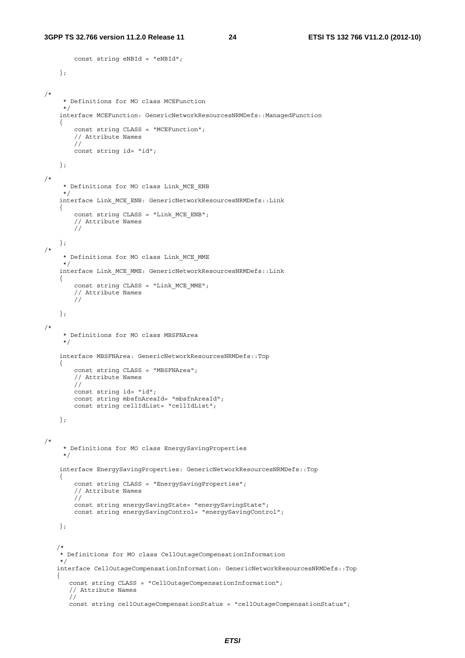```
 const string eNBId = "eNBId"; 
     }; 
/* 
      * Definitions for MO class MCEFunction 
      */ 
     interface MCEFunction: GenericNetworkResourcesNRMDefs::ManagedFunction 
     { 
         const string CLASS = "MCEFunction"; 
 // Attribute Names 
 // 
        const string id= "id";
     }; 
/* 
      * Definitions for MO class Link_MCE_ENB 
      */ 
     interface Link_MCE_ENB: GenericNetworkResourcesNRMDefs::Link 
     { 
         const string CLASS = "Link_MCE_ENB"; 
         // Attribute Names 
         // 
    }; 
/* 
      * Definitions for MO class Link_MCE_MME 
      */ 
     interface Link_MCE_MME: GenericNetworkResourcesNRMDefs::Link 
     { 
        const string CLASS = "Link MCE MME";
         // Attribute Names 
         // 
     }; 
/* 
      * Definitions for MO class MBSFNArea 
      */ 
     interface MBSFNArea: GenericNetworkResourcesNRMDefs::Top 
     { 
         const string CLASS = "MBSFNArea"; 
         // Attribute Names 
         // 
         const string id= "id"; 
         const string mbsfnAreaId= "mbsfnAreaId"; 
         const string cellIdList= "cellIdList"; 
     }; 
/* 
      * Definitions for MO class EnergySavingProperties 
      */ 
     interface EnergySavingProperties: GenericNetworkResourcesNRMDefs::Top 
     { 
         const string CLASS = "EnergySavingProperties"; 
         // Attribute Names 
         // 
         const string energySavingState= "energySavingState"; 
         const string energySavingControl= "energySavingControl"; 
     }; 
/ *
     * Definitions for MO class CellOutageCompensationInformation 
    \star interface CellOutageCompensationInformation: GenericNetworkResourcesNRMDefs::Top 
    { 
        const string CLASS = "CellOutageCompensationInformation"; 
        // Attribute Names 
        // 
       const string cellOutageCompensationStatus = "cellOutageCompensationStatus";
```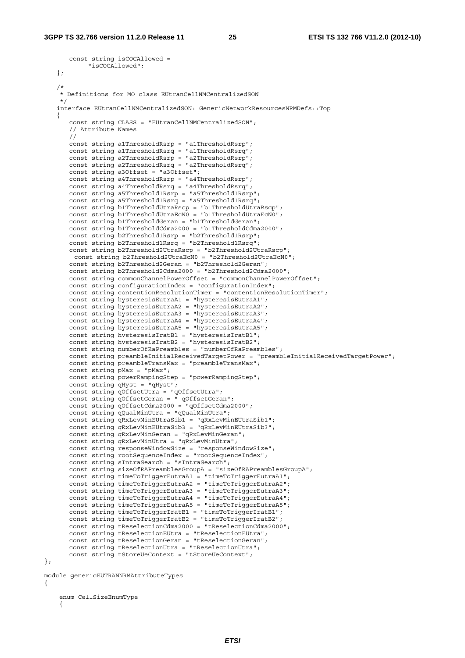#### **3GPP TS 32.766 version 11.2.0 Release 11 25 ETSI TS 132 766 V11.2.0 (2012-10)**

```
 const string isCOCAllowed = 
             "isCOCAllowed"; 
    }; 
/ *
     * Definitions for MO class EUtranCellNMCentralizedSON 
\star/ interface EUtranCellNMCentralizedSON: GenericNetworkResourcesNRMDefs::Top 
    { 
        const string CLASS = "EUtranCellNMCentralizedSON"; 
        // Attribute Names 
        // 
        const string a1ThresholdRsrp = "a1ThresholdRsrp"; 
        const string a1ThresholdRsrq = "a1ThresholdRsrq"; 
        const string a2ThresholdRsrp = "a2ThresholdRsrp"; 
      const string a2ThresholdRsrq = "a2ThresholdRsrq";
        const string a3Offset = "a3Offset"; 
        const string a4ThresholdRsrp = "a4ThresholdRsrp"; 
       const string a4ThresholdRsrq = "a4ThresholdRsrq";
       const string a5Threshold1Rsrp = "a5Threshold1Rsrp"; 
       const string a5Threshold1Rsrq = "a5Threshold1Rsrq"; 
       const string b1ThresholdUtraRscp = "b1ThresholdUtraRscp"; 
        const string b1ThresholdUtraEcN0 = "b1ThresholdUtraEcN0"; 
       const string b1ThresholdGeran = "b1ThresholdGeran"; 
       const string b1ThresholdCdma2000 = "b1ThresholdCdma2000"; 
       const string b2Threshold1Rsrp = "b2Threshold1Rsrp"; 
        const string b2Threshold1Rsrq = "b2Threshold1Rsrq"; 
        const string b2Threshold2UtraRscp = "b2Threshold2UtraRscp"; 
        const string b2Threshold2UtraEcN0 = "b2Threshold2UtraEcN0"; 
       const string b2Threshold2Geran = "b2Threshold2Geran"; 
        const string b2Threshold2Cdma2000 = "b2Threshold2Cdma2000"; 
        const string commonChannelPowerOffset = "commonChannelPowerOffset"; 
       const string configurationIndex = "configurationIndex";
       const string contentionResolutionTimer = "contentionResolutionTimer"; 
        const string hysteresisEutraA1 = "hysteresisEutraA1"; 
        const string hysteresisEutraA2 = "hysteresisEutraA2"; 
       const string hysteresisEutraA3 = "hysteresisEutraA3"; 
       const string hysteresisEutraA4 = "hysteresisEutraA4"; 
       const string hysteresisEutraA5 = "hysteresisEutraA5"; 
        const string hysteresisIratB1 = "hysteresisIratB1"; 
        const string hysteresisIratB2 = "hysteresisIratB2"; 
       const string numberOfRaPreambles = "numberOfRaPreambles"; 
       const string preambleInitialReceivedTargetPower = "preambleInitialReceivedTargetPower"; 
       const string preambleTransMax = "preambleTransMax"; 
       const string pMax = "pMax"; 
       const string powerRampingStep = "powerRampingStep"; 
      const string qHyst = "qHyst";
        const string qOffsetUtra = "qOffsetUtra"; 
        const string qOffsetGeran = " qOffsetGeran"; 
       const string qOffsetCdma2000 = "qOffsetCdma2000"; 
      const string qQualMinUtra = "qQualMinUtra"; const string qRxLevMinEUtraSib1 = "qRxLevMinEUtraSib1"; 
        const string qRxLevMinEUtraSib3 = "qRxLevMinEUtraSib3"; 
        const string qRxLevMinGeran = "qRxLevMinGeran"; 
       const string qRxLevMinUtra = "qRxLevMinUtra"; 
       const string responseWindowSize = "responseWindowSize"; 
        const string rootSequenceIndex = "rootSequenceIndex"; 
       const string sIntraSearch = "sIntraSearch"; 
       const string sizeOfRAPreamblesGroupA = "sizeOfRAPreamblesGroupA"; 
       const string timeToTriggerEutraA1 = "timeToTriggerEutraA1"; 
        const string timeToTriggerEutraA2 = "timeToTriggerEutraA2"; 
        const string timeToTriggerEutraA3 = "timeToTriggerEutraA3"; 
       const string timeToTriggerEutraA4 = "timeToTriggerEutraA4"; 
       const string timeToTriggerEutraA5 = "timeToTriggerEutraA5"; 
       const string timeToTriggerIratB1 = "timeToTriggerIratB1"; 
        const string timeToTriggerIratB2 = "timeToTriggerIratB2"; 
        const string tReselectionCdma2000 = "tReselectionCdma2000"; 
       const string tReselectionEUtra = "tReselectionEUtra"; 
        const string tReselectionGeran = "tReselectionGeran"; 
        const string tReselectionUtra = "tReselectionUtra"; 
        const string tStoreUeContext = "tStoreUeContext"; 
module genericEUTRANNRMAttributeTypes
```
 enum CellSizeEnumType {

};

{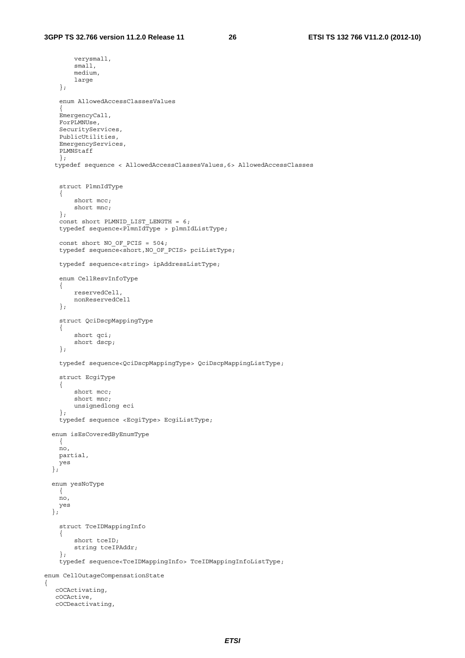{

```
 verysmall, 
          small, 
         medium, 
         large 
     }; 
     enum AllowedAccessClassesValues 
 { 
     EmergencyCall, 
     ForPLMNUse, 
     SecurityServices, 
     PublicUtilities, 
     EmergencyServices, 
     PLMNStaff 
     }; 
   typedef sequence < AllowedAccessClassesValues,6> AllowedAccessClasses 
     struct PlmnIdType 
     { 
        short mcc:
         short mnc; 
     }; 
    const short PLMNID LIST LENGTH = 6;
     typedef sequence<PlmnIdType > plmnIdListType; 
     const short NO_OF_PCIS = 504; 
    typedef sequence<short,NO OF PCIS> pciListType;
     typedef sequence<string> ipAddressListType;
     enum CellResvInfoType 
     { 
         reservedCell, 
         nonReservedCell 
     }; 
     struct QciDscpMappingType 
     { 
          short qci; 
         short dscp; 
     }; 
     typedef sequence<QciDscpMappingType> QciDscpMappingListType; 
     struct EcgiType 
     { 
        short mcc;
         short mnc; 
         unsignedlong eci 
     }; 
     typedef sequence <EcgiType> EcgiListType; 
   enum isEsCoveredByEnumType 
     { 
     no, 
     partial, 
    yes 
   }; 
   enum yesNoType 
     { 
     no, 
    yes 
   }; 
     struct TceIDMappingInfo 
     { 
         short tceID; 
         string tceIPAddr; 
     }; 
     typedef sequence<TceIDMappingInfo> TceIDMappingInfoListType; 
enum CellOutageCompensationState 
    cOCActivating, 
    cOCActive, 
    cOCDeactivating,
```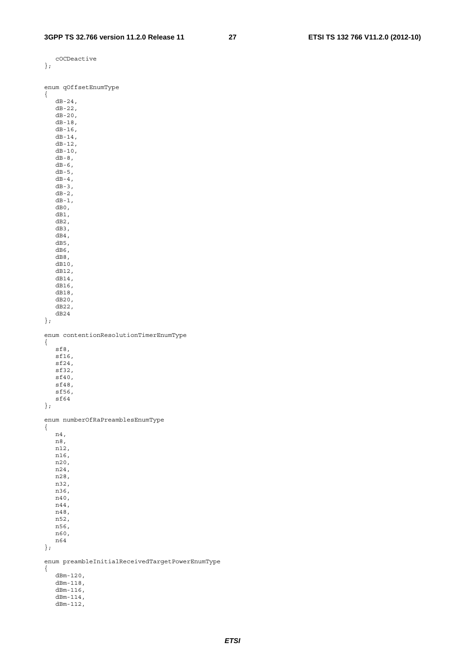cOCDeactive };

enum qOffsetEnumType { dB-24,  $dB-22$ ,  $dB-20,$  dB-18, dB-16, dB-14, dB-12, dB-10, dB-8, dB-6, dB-5, dB-4,  $dB-3$ ,  $dB-2$ ,  $dB-1,$  dB0, dB1, dB2, dB3, dB4, dB5, dB6,  $dB8$ , dB10, dB12, dB14, dB16, dB18, dB20, dB22, dB24 }; enum contentionResolutionTimerEnumType { sf8,  $sf16$ , sf24, sf32,  $sf40,$  sf48, sf56, sf64 }; enum numberOfRaPreamblesEnumType { n4, n8, n12, n16, n20, n24, n28, n32, n36, n40, n44, n48, n52, n56, n60, n64 }; enum preambleInitialReceivedTargetPowerEnumType { dBm-120, dBm-118, dBm-116,

 dBm-114, dBm- $112,$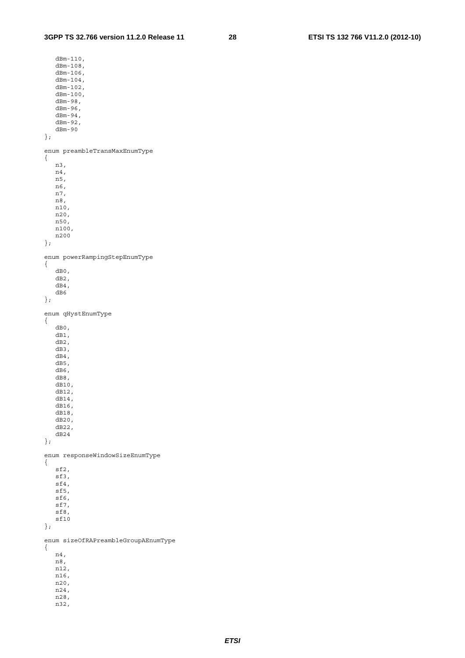#### **3GPP TS 32.766 version 11.2.0 Release 11 28 ETSI TS 132 766 V11.2.0 (2012-10)**

 dBm-110, dBm-108, dBm-106, dBm-104, dBm-102, dBm-100, dBm-98, dBm-96, dBm-94, dBm-92, dBm-90 }; enum preambleTransMaxEnumType { n3, n4, n5, n6, n7, n8, n10, n20, n50, n100, n200 }; enum powerRampingStepEnumType { dB0,  $dB2$ , dB4, dB6 }; enum qHystEnumType { dB0, dB1, dB2,  $dB3$ ,  $dB4$ , dB5, dB6,  $dB8,$  dB10, dB12, dB14, dB16, dB18, dB20, dB22, dB24 }; enum responseWindowSizeEnumType { sf2, sf3, sf4, sf5, sf6, sf7, sf8, sf10 }; enum sizeOfRAPreambleGroupAEnumType { n4, n8,  $n12,$  n16, n20, n24, n28,

n32,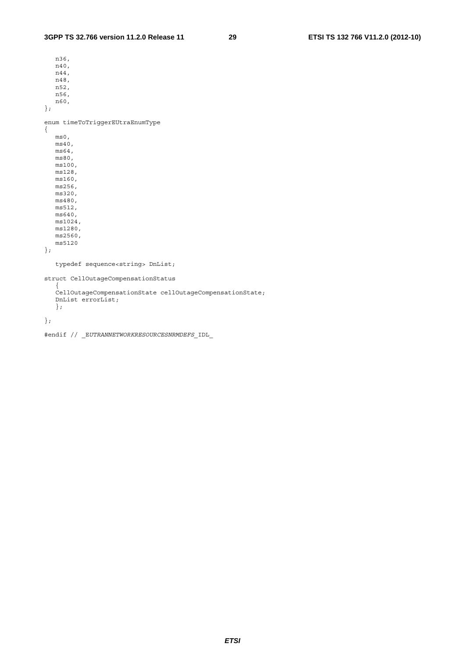```
 n36, 
    n40, 
    n44, 
    n48, 
    n52, 
    n56, 
    n60, 
}; 
enum timeToTriggerEUtraEnumType 
{ 
    ms0, 
    ms40, 
    ms64, 
    ms80, 
    ms100, 
    ms128, 
    ms160, 
    ms256, 
   ms320,
    ms480, 
    ms512, 
    ms640, 
    ms1024, 
    ms1280, 
    ms2560, 
    ms5120 
}; 
    typedef sequence<string> DnList;
struct CellOutageCompensationStatus 
    { 
    CellOutageCompensationState cellOutageCompensationState; 
    DnList errorList; 
    }; 
};
```

```
#endif // _EUTRANNETWORKRESOURCESNRMDEFS_IDL_
```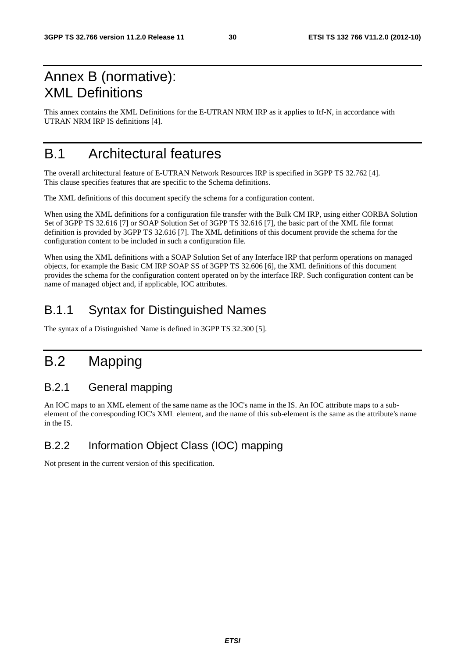## Annex B (normative): XML Definitions

This annex contains the XML Definitions for the E-UTRAN NRM IRP as it applies to Itf-N, in accordance with UTRAN NRM IRP IS definitions [4].

## B.1 Architectural features

The overall architectural feature of E-UTRAN Network Resources IRP is specified in 3GPP TS 32.762 [4]. This clause specifies features that are specific to the Schema definitions.

The XML definitions of this document specify the schema for a configuration content.

When using the XML definitions for a configuration file transfer with the Bulk CM IRP, using either CORBA Solution Set of 3GPP TS 32.616 [7] or SOAP Solution Set of 3GPP TS 32.616 [7], the basic part of the XML file format definition is provided by 3GPP TS 32.616 [7]. The XML definitions of this document provide the schema for the configuration content to be included in such a configuration file.

When using the XML definitions with a SOAP Solution Set of any Interface IRP that perform operations on managed objects, for example the Basic CM IRP SOAP SS of 3GPP TS 32.606 [6], the XML definitions of this document provides the schema for the configuration content operated on by the interface IRP. Such configuration content can be name of managed object and, if applicable, IOC attributes.

## B.1.1 Syntax for Distinguished Names

The syntax of a Distinguished Name is defined in 3GPP TS 32.300 [5].

## B.2 Mapping

### B.2.1 General mapping

An IOC maps to an XML element of the same name as the IOC's name in the IS. An IOC attribute maps to a subelement of the corresponding IOC's XML element, and the name of this sub-element is the same as the attribute's name in the IS.

### B.2.2 Information Object Class (IOC) mapping

Not present in the current version of this specification.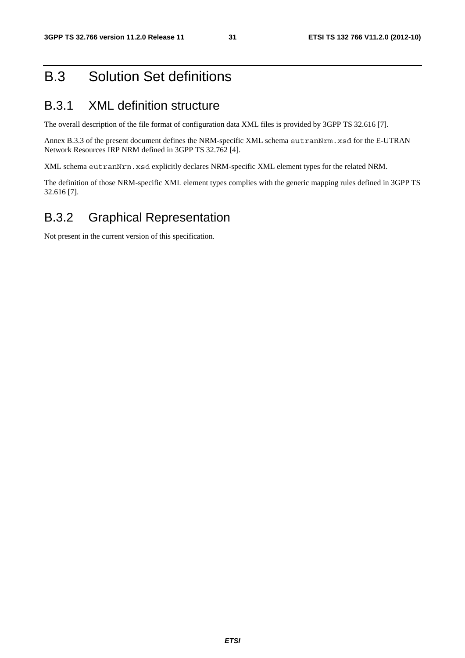## B.3 Solution Set definitions

### B.3.1 XML definition structure

The overall description of the file format of configuration data XML files is provided by 3GPP TS 32.616 [7].

Annex B.3.3 of the present document defines the NRM-specific XML schema eutranNrm.xsd for the E-UTRAN Network Resources IRP NRM defined in 3GPP TS 32.762 [4].

XML schema eutranNrm.xsd explicitly declares NRM-specific XML element types for the related NRM.

The definition of those NRM-specific XML element types complies with the generic mapping rules defined in 3GPP TS 32.616 [7].

### B.3.2 Graphical Representation

Not present in the current version of this specification.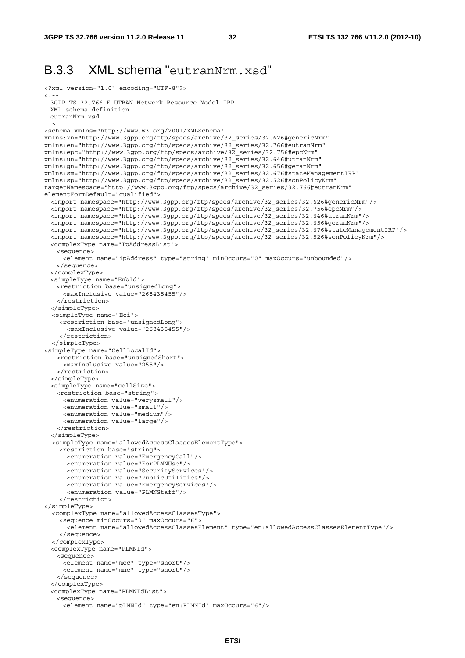<?xml version="1.0" encoding="UTF-8"?>

### B.3.3 XML schema "eutranNrm.xsd"

```
\geq \frac{1}{2} \geq \frac{1}{2} 3GPP TS 32.766 E-UTRAN Network Resource Model IRP 
  XML schema definition 
  eutranNrm.xsd 
--<schema xmlns="http://www.w3.org/2001/XMLSchema" 
xmlns:xn="http://www.3gpp.org/ftp/specs/archive/32_series/32.626#genericNrm" 
xmlns:en="http://www.3gpp.org/ftp/specs/archive/32_series/32.766#eutranNrm" 
xmlns:epc="http://www.3gpp.org/ftp/specs/archive/32_series/32.756#epcNrm" 
xmlns:un="http://www.3gpp.org/ftp/specs/archive/32_series/32.646#utranNrm" 
xmlns:gn="http://www.3gpp.org/ftp/specs/archive/32_series/32.656#geranNrm" 
xmlns:sm="http://www.3gpp.org/ftp/specs/archive/32_series/32.676#stateManagementIRP" 
xmlns:sp="http://www.3gpp.org/ftp/specs/archive/32_series/32.526#sonPolicyNrm" 
targetNamespace="http://www.3gpp.org/ftp/specs/archive/32_series/32.766#eutranNrm" 
elementFormDefault="qualified"> 
  <import namespace="http://www.3gpp.org/ftp/specs/archive/32_series/32.626#genericNrm"/> 
  <import namespace="http://www.3gpp.org/ftp/specs/archive/32_series/32.756#epcNrm"/> 
  <import namespace="http://www.3gpp.org/ftp/specs/archive/32_series/32.646#utranNrm"/> 
   <import namespace="http://www.3gpp.org/ftp/specs/archive/32_series/32.656#geranNrm"/> 
  <import namespace="http://www.3gpp.org/ftp/specs/archive/32_series/32.676#stateManagementIRP"/> 
   <import namespace="http://www.3gpp.org/ftp/specs/archive/32_series/32.526#sonPolicyNrm"/> 
   <complexType name="IpAddressList"> 
    <sequence> 
      <element name="ipAddress" type="string" minOccurs="0" maxOccurs="unbounded"/> 
    </sequence> 
  </complexType> 
   <simpleType name="EnbId"> 
    <restriction base="unsignedLong"> 
      <maxInclusive value="268435455"/> 
    </restriction> 
   </simpleType> 
   <simpleType name="Eci"> 
     <restriction base="unsignedLong"> 
       <maxInclusive value="268435455"/> 
     </restriction> 
   </simpleType> 
<simpleType name="CellLocalId"> 
    <restriction base="unsignedShort"> 
      <maxInclusive value="255"/> 
    </restriction> 
   </simpleType> 
   <simpleType name="cellSize"> 
    <restriction base="string"> 
      <enumeration value="verysmall"/> 
      <enumeration value="small"/> 
      <enumeration value="medium"/> 
      <enumeration value="large"/> 
    </restriction> 
  </simpleType> 
   <simpleType name="allowedAccessClassesElementType"> 
     <restriction base="string"> 
       <enumeration value="EmergencyCall"/> 
       <enumeration value="ForPLMNUse"/> 
       <enumeration value="SecurityServices"/> 
       <enumeration value="PublicUtilities"/> 
       <enumeration value="EmergencyServices"/> 
       <enumeration value="PLMNStaff"/> 
     </restriction> 
</simpleType> 
   <complexType name="allowedAccessClassesType"> 
     <sequence minOccurs="0" maxOccurs="6"> 
       <element name="allowedAccessClassesElement" type="en:allowedAccessClassesElementType"/> 
     </sequence> 
   </complexType> 
   <complexType name="PLMNId"> 
    <sequence> 
      <element name="mcc" type="short"/> 
      <element name="mnc" type="short"/> 
    </sequence> 
   </complexType> 
   <complexType name="PLMNIdList"> 
    <sequence> 
      <element name="pLMNId" type="en:PLMNId" maxOccurs="6"/>
```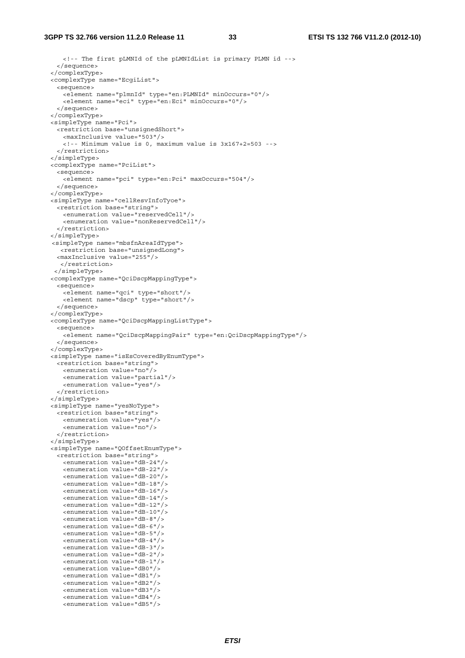<!-- The first pLMNId of the pLMNIdList is primary PLMN id --> </sequence> </complexType> <complexType name="EcgiList"> <sequence> <element name="plmnId" type="en:PLMNId" minOccurs="0"/> <element name="eci" type="en:Eci" minOccurs="0"/> </sequence> </complexType> <simpleType name="Pci"> <restriction base="unsignedShort"> <maxInclusive value="503"/> <!-- Minimum value is 0, maximum value is 3x167+2=503 --> </restriction> </simpleType> <complexType name="PciList"> <sequence> <element name="pci" type="en:Pci" maxOccurs="504"/> </sequence> </complexType> <simpleType name="cellResvInfoTyoe"> <restriction base="string"> <enumeration value="reservedCell"/> <enumeration value="nonReservedCell"/> </restriction> </simpleType> <simpleType name="mbsfnAreaIdType"> <restriction base="unsignedLong"> <maxInclusive value="255"/> </restriction> </simpleType> <complexType name="QciDscpMappingType"> <sequence> <element name="qci" type="short"/> <element name="dscp" type="short"/> </sequence> </complexType> <complexType name="QciDscpMappingListType"> <sequence> <element name="QciDscpMappingPair" type="en:QciDscpMappingType"/> </sequence> </complexType> <simpleType name="isEsCoveredByEnumType"> <restriction base="string"> <enumeration value="no"/> <enumeration value="partial"/> <enumeration value="yes"/> </restriction> </simpleType> <simpleType name="yesNoType"> <restriction base="string"> <enumeration value="yes"/> <enumeration value="no"/> </restriction> </simpleType> <simpleType name="QOffsetEnumType"> <restriction base="string"> <enumeration value="dB-24"/> <enumeration value="dB-22"/> <enumeration value="dB-20"/> <enumeration value="dB-18"/> <enumeration value="dB-16"/> <enumeration value="dB-14"/> <enumeration value="dB-12"/> <enumeration value="dB-10"/> <enumeration value="dB-8"/> <enumeration value="dB-6"/> <enumeration value="dB-5"/> <enumeration value="dB-4"/> <enumeration value="dB-3"/> <enumeration value="dB-2"/> <enumeration value="dB-1"/> <enumeration value="dB0"/> <enumeration value="dB1"/> <enumeration value="dB2"/> <enumeration value="dB3"/> <enumeration value="dB4"/> <enumeration value="dB5"/>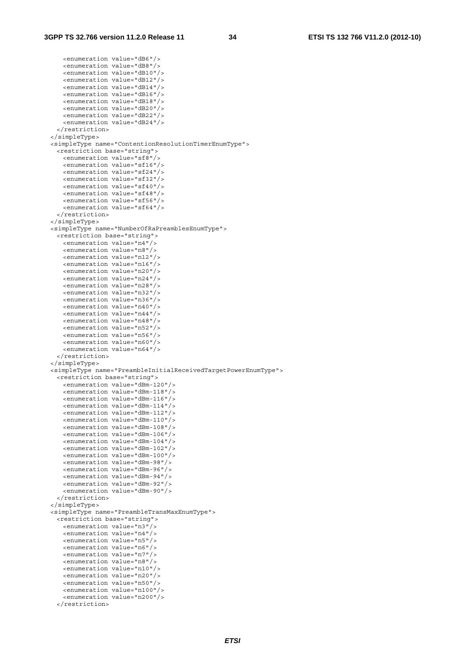<enumeration value="dB6"/> <enumeration value="dB8"/> <enumeration value="dB10"/> <enumeration value="dB12"/> <enumeration value="dB14"/> <enumeration value="dB16"/> <enumeration value="dB18"/> <enumeration value="dB20"/> <enumeration value="dB22"/> <enumeration value="dB24"/> </restriction> </simpleType> <simpleType name="ContentionResolutionTimerEnumType"> <restriction base="string"> <enumeration value="sf8"/> <enumeration value="sf16"/> <enumeration value="sf24"/> <enumeration value="sf32"/> <enumeration value="sf40"/> <enumeration value="sf48"/> <enumeration value="sf56"/> <enumeration value="sf64"/> </restriction> </simpleType> <simpleType name="NumberOfRaPreamblesEnumType"> <restriction base="string"> <enumeration value="n4"/> <enumeration value="n8"/> <enumeration value="n12"/> <enumeration value="n16"/> <enumeration value="n20"/> <enumeration value="n24"/> <enumeration value="n28"/> <enumeration value="n32"/> <enumeration value="n36"/> <enumeration value="n40"/> <enumeration value="n44"/> <enumeration value="n48"/> <enumeration value="n52"/> <enumeration value="n56"/> <enumeration value="n60"/> <enumeration value="n64"/> </restriction> </simpleType> <simpleType name="PreambleInitialReceivedTargetPowerEnumType"> <restriction base="string"> <enumeration value="dBm-120"/> <enumeration value="dBm-118"/> <enumeration value="dBm-116"/> <enumeration value="dBm-114"/> <enumeration value="dBm-112"/> <enumeration value="dBm-110"/> <enumeration value="dBm-108"/> <enumeration value="dBm-106"/> <enumeration value="dBm-104"/> <enumeration value="dBm-102"/> <enumeration value="dBm-100"/> <enumeration value="dBm-98"/> <enumeration value="dBm-96"/> <enumeration value="dBm-94"/> <enumeration value="dBm-92"/> <enumeration value="dBm-90"/> </restriction> </simpleType> <simpleType name="PreambleTransMaxEnumType"> <restriction base="string"> <enumeration value="n3"/> <enumeration value="n4"/> <enumeration value="n5"/> <enumeration value="n6"/> <enumeration value="n7"/> <enumeration value="n8"/> <enumeration value="n10"/> <enumeration value="n20"/> <enumeration value="n50"/> <enumeration value="n100"/> <enumeration value="n200"/> </restriction>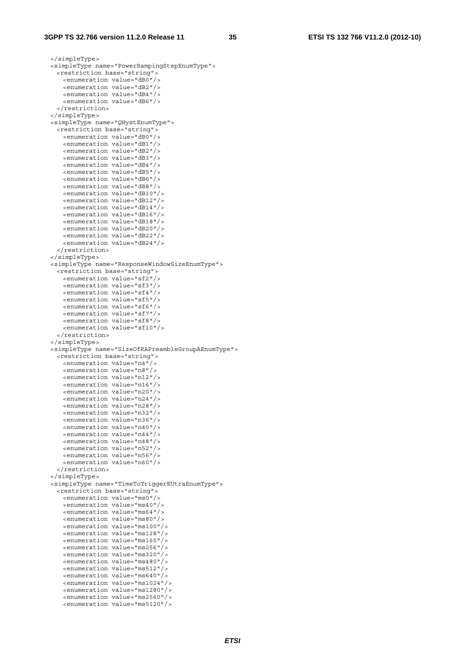```
 </simpleType> 
 <simpleType name="PowerRampingStepEnumType"> 
  <restriction base="string"> 
    <enumeration value="dB0"/> 
    <enumeration value="dB2"/> 
    <enumeration value="dB4"/> 
    <enumeration value="dB6"/> 
  </restriction> 
 </simpleType> 
 <simpleType name="QHystEnumType"> 
  <restriction base="string"> 
    <enumeration value="dB0"/> 
    <enumeration value="dB1"/> 
    <enumeration value="dB2"/> 
    <enumeration value="dB3"/> 
    <enumeration value="dB4"/> 
    <enumeration value="dB5"/> 
    <enumeration value="dB6"/> 
    <enumeration value="dB8"/> 
    <enumeration value="dB10"/> 
    <enumeration value="dB12"/> 
    <enumeration value="dB14"/> 
    <enumeration value="dB16"/> 
    <enumeration value="dB18"/> 
    <enumeration value="dB20"/> 
    <enumeration value="dB22"/> 
    <enumeration value="dB24"/> 
   </restriction> 
 </simpleType> 
 <simpleType name="ResponseWindowSizeEnumType"> 
   <restriction base="string"> 
    <enumeration value="sf2"/> 
    <enumeration value="sf3"/> 
    <enumeration value="sf4"/> 
    <enumeration value="sf5"/> 
    <enumeration value="sf6"/> 
    <enumeration value="sf7"/> 
    <enumeration value="sf8"/> 
    <enumeration value="sf10"/> 
   </restriction> 
 </simpleType> 
 <simpleType name="SizeOfRAPreambleGroupAEnumType"> 
   <restriction base="string"> 
    <enumeration value="n4"/> 
    <enumeration value="n8"/> 
    <enumeration value="n12"/> 
    <enumeration value="n16"/> 
    <enumeration value="n20"/> 
    <enumeration value="n24"/> 
    <enumeration value="n28"/> 
    <enumeration value="n32"/> 
    <enumeration value="n36"/> 
    <enumeration value="n40"/> 
    <enumeration value="n44"/> 
    <enumeration value="n48"/> 
    <enumeration value="n52"/> 
    <enumeration value="n56"/> 
    <enumeration value="n60"/> 
   </restriction> 
 </simpleType> 
 <simpleType name="TimeToTriggerEUtraEnumType"> 
  <restriction base="string"> 
    <enumeration value="ms0"/> 
    <enumeration value="ms40"/> 
    <enumeration value="ms64"/> 
    <enumeration value="ms80"/> 
    <enumeration value="ms100"/> 
    <enumeration value="ms128"/> 
    <enumeration value="ms160"/> 
    <enumeration value="ms256"/> 
    <enumeration value="ms320"/> 
    <enumeration value="ms480"/> 
    <enumeration value="ms512"/> 
    <enumeration value="ms640"/> 
    <enumeration value="ms1024"/> 
    <enumeration value="ms1280"/> 
    <enumeration value="ms2560"/> 
    <enumeration value="ms5120"/>
```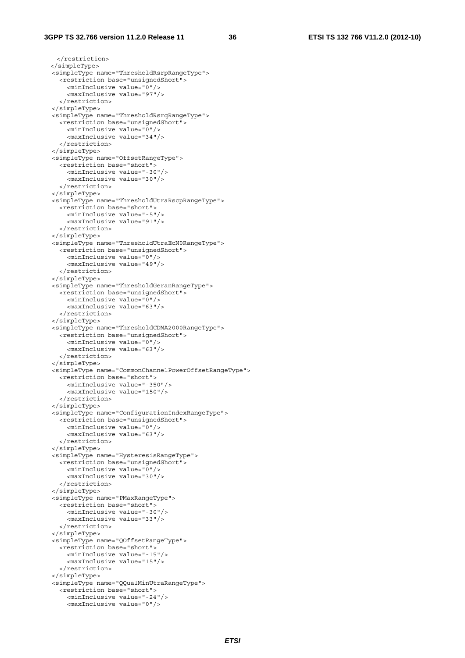</restriction> </simpleType> <simpleType name="ThresholdRsrpRangeType"> <restriction base="unsignedShort"> <minInclusive value="0"/> <maxInclusive value="97"/> </restriction> </simpleType> <simpleType name="ThresholdRsrqRangeType"> <restriction base="unsignedShort"> <minInclusive value="0"/> <maxInclusive value="34"/> </restriction> </simpleType> <simpleType name="OffsetRangeType"> <restriction base="short"> <minInclusive value="-30"/> <maxInclusive value="30"/> </restriction> </simpleType> <simpleType name="ThresholdUtraRscpRangeType"> <restriction base="short"> <minInclusive value="-5"/> <maxInclusive value="91"/> </restriction> </simpleType> <simpleType name="ThresholdUtraEcN0RangeType"> <restriction base="unsignedShort"> <minInclusive value="0"/> <maxInclusive value="49"/> </restriction> </simpleType> <simpleType name="ThresholdGeranRangeType"> <restriction base="unsignedShort"> <minInclusive value="0"/> <maxInclusive value="63"/> </restriction> </simpleType> <simpleType name="ThresholdCDMA2000RangeType"> <restriction base="unsignedShort"> <minInclusive value="0"/> <maxInclusive value="63"/> </restriction> </simpleType> <simpleType name="CommonChannelPowerOffsetRangeType"> <restriction base="short"> <minInclusive value="-350"/> <maxInclusive value="150"/> </restriction> </simpleType> <simpleType name="ConfigurationIndexRangeType"> <restriction base="unsignedShort"> <minInclusive value="0"/> <maxInclusive value="63"/> </restriction> </simpleType> <simpleType name="HysteresisRangeType"> <restriction base="unsignedShort"> <minInclusive value="0"/> <maxInclusive value="30"/> </restriction> </simpleType> <simpleType name="PMaxRangeType"> <restriction base="short"> <minInclusive value="-30"/> <maxInclusive value="33"/> </restriction> </simpleType> <simpleType name="QOffsetRangeType"> <restriction base="short"> <minInclusive value="-15"/> <maxInclusive value="15"/> </restriction> </simpleType> <simpleType name="QQualMinUtraRangeType"> <restriction base="short"> <minInclusive value="-24"/> <maxInclusive value="0"/>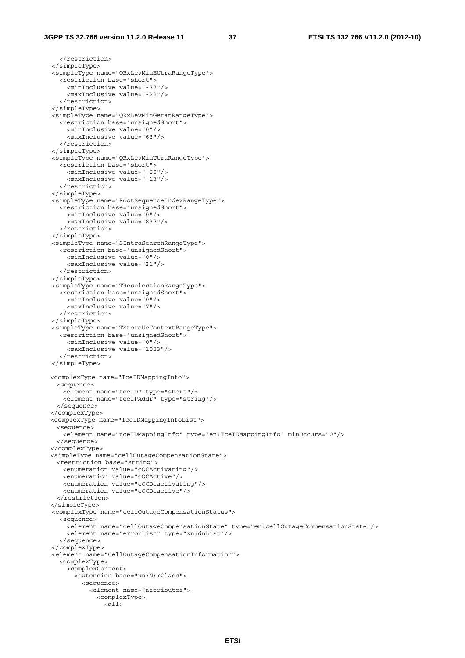```
 </restriction> 
 </simpleType> 
 <simpleType name="QRxLevMinEUtraRangeType"> 
   <restriction base="short"> 
     <minInclusive value="-77"/> 
     <maxInclusive value="-22"/> 
   </restriction> 
 </simpleType> 
 <simpleType name="QRxLevMinGeranRangeType"> 
   <restriction base="unsignedShort"> 
     <minInclusive value="0"/> 
     <maxInclusive value="63"/> 
   </restriction> 
 </simpleType> 
 <simpleType name="QRxLevMinUtraRangeType"> 
   <restriction base="short"> 
     <minInclusive value="-60"/> 
     <maxInclusive value="-13"/> 
   </restriction> 
 </simpleType> 
 <simpleType name="RootSequenceIndexRangeType"> 
   <restriction base="unsignedShort"> 
     <minInclusive value="0"/> 
     <maxInclusive value="837"/> 
   </restriction> 
 </simpleType> 
 <simpleType name="SIntraSearchRangeType"> 
   <restriction base="unsignedShort"> 
     <minInclusive value="0"/> 
     <maxInclusive value="31"/> 
   </restriction> 
 </simpleType> 
 <simpleType name="TReselectionRangeType"> 
   <restriction base="unsignedShort"> 
     <minInclusive value="0"/> 
     <maxInclusive value="7"/> 
   </restriction> 
 </simpleType> 
 <simpleType name="TStoreUeContextRangeType"> 
   <restriction base="unsignedShort"> 
     <minInclusive value="0"/> 
     <maxInclusive value="1023"/> 
   </restriction> 
 </simpleType> 
 <complexType name="TceIDMappingInfo"> 
  <sequence> 
    <element name="tceID" type="short"/> 
    <element name="tceIPAddr" type="string"/> 
  </sequence> 
 </complexType> 
 <complexType name="TceIDMappingInfoList"> 
  <sequence> 
    <element name="tceIDMappingInfo" type="en:TceIDMappingInfo" minOccurs="0"/> 
  </sequence> 
 </complexType> 
 <simpleType name="cellOutageCompensationState"> 
  <restriction base="string"> 
    <enumeration value="cOCActivating"/> 
    <enumeration value="cOCActive"/> 
    <enumeration value="cOCDeactivating"/> 
    <enumeration value="cOCDeactive"/> 
  </restriction> 
 </simpleType> 
 <complexType name="cellOutageCompensationStatus"> 
   <sequence> 
     <element name="cellOutageCompensationState" type="en:cellOutageCompensationState"/> 
     <element name="errorList" type="xn:dnList"/> 
   </sequence> 
 </complexType> 
 <element name="CellOutageCompensationInformation"> 
   <complexType> 
     <complexContent> 
        <extension base="xn:NrmClass"> 
          <sequence> 
            <element name="attributes"> 
              <complexType> 
                <all>
```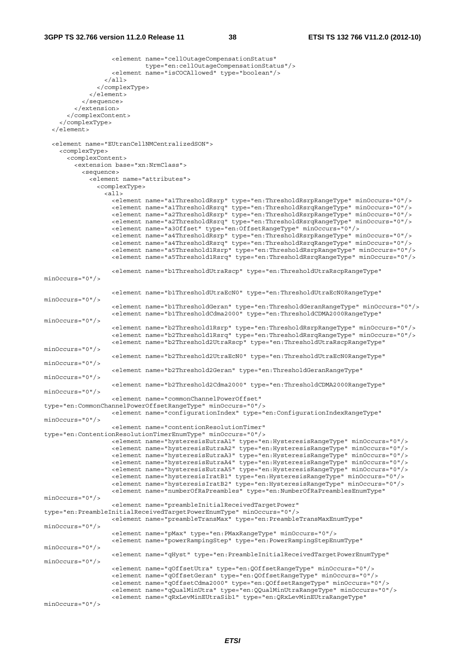<element name="cellOutageCompensationStatus" type="en:cellOutageCompensationStatus"/> <element name="isCOCAllowed" type="boolean"/>  $\langle$ all $\rangle$  </complexType> </element> </sequence> </extension> </complexContent> </complexType> </element> <element name="EUtranCellNMCentralizedSON"> <complexType> <complexContent> <extension base="xn:NrmClass"> <sequence> <element name="attributes"> <complexType>  $\overline{c}$  <element name="a1ThresholdRsrp" type="en:ThresholdRsrpRangeType" minOccurs="0"/> <element name="a1ThresholdRsrq" type="en:ThresholdRsrqRangeType" minOccurs="0"/> <element name="a2ThresholdRsrp" type="en:ThresholdRsrpRangeType" minOccurs="0"/> <element name="a2ThresholdRsrq" type="en:ThresholdRsrqRangeType" minOccurs="0"/> <element name="a3Offset" type="en:OffsetRangeType" minOccurs="0"/> <element name="a4ThresholdRsrp" type="en:ThresholdRsrpRangeType" minOccurs="0"/> <element name="a4ThresholdRsrq" type="en:ThresholdRsrqRangeType" minOccurs="0"/> <element name="a5Threshold1Rsrp" type="en:ThresholdRsrpRangeType" minOccurs="0"/> <element name="a5Threshold1Rsrq" type="en:ThresholdRsrqRangeType" minOccurs="0"/> <element name="b1ThresholdUtraRscp" type="en:ThresholdUtraRscpRangeType" minOccurs="0"/> <element name="b1ThresholdUtraEcN0" type="en:ThresholdUtraEcN0RangeType" minOccurs="0"/> <element name="b1ThresholdGeran" type="en:ThresholdGeranRangeType" minOccurs="0"/> <element name="b1ThresholdCdma2000" type="en:ThresholdCDMA2000RangeType" minOccurs="0"/> <element name="b2Threshold1Rsrp" type="en:ThresholdRsrpRangeType" minOccurs="0"/> <element name="b2Threshold1Rsrq" type="en:ThresholdRsrqRangeType" minOccurs="0"/> <element name="b2Threshold2UtraRscp" type="en:ThresholdUtraRscpRangeType" minOccurs="0"/> <element name="b2Threshold2UtraEcN0" type="en:ThresholdUtraEcN0RangeType"  $minOrcures=10"$ /> <element name="b2Threshold2Geran" type="en:ThresholdGeranRangeType" minOccurs="0"/> <element name="b2Threshold2Cdma2000" type="en:ThresholdCDMA2000RangeType" minOccurs="0"/> <element name="commonChannelPowerOffset" type="en:CommonChannelPowerOffsetRangeType" minOccurs="0"/> <element name="configurationIndex" type="en:ConfigurationIndexRangeType" minOccurs="0"/> <element name="contentionResolutionTimer" type="en:ContentionResolutionTimerEnumType" minOccurs="0"/> <element name="hysteresisEutraA1" type="en:HysteresisRangeType" minOccurs="0"/> <element name="hysteresisEutraA2" type="en:HysteresisRangeType" minOccurs="0"/> <element name="hysteresisEutraA3" type="en:HysteresisRangeType" minOccurs="0"/> <element name="hysteresisEutraA4" type="en:HysteresisRangeType" minOccurs="0"/> <element name="hysteresisEutraA5" type="en:HysteresisRangeType" minOccurs="0"/> <element name="hysteresisIratB1" type="en:HysteresisRangeType" minOccurs="0"/> <element name="hysteresisIratB2" type="en:HysteresisRangeType" minOccurs="0"/> <element name="numberOfRaPreambles" type="en:NumberOfRaPreamblesEnumType" minOccurs="0"/> <element name="preambleInitialReceivedTargetPower" type="en:PreambleInitialReceivedTargetPowerEnumType" minOccurs="0"/> <element name="preambleTransMax" type="en:PreambleTransMaxEnumType" minOccurs="0"/> <element name="pMax" type="en:PMaxRangeType" minOccurs="0"/> <element name="powerRampingStep" type="en:PowerRampingStepEnumType" minOccurs="0"/> <element name="qHyst" type="en:PreambleInitialReceivedTargetPowerEnumType" minOccurs="0"/> <element name="qOffsetUtra" type="en:QOffsetRangeType" minOccurs="0"/> <element name="qOffsetGeran" type="en:QOffsetRangeType" minOccurs="0"/> <element name="qOffsetCdma2000" type="en:QOffsetRangeType" minOccurs="0"/> <element name="qQualMinUtra" type="en:QQualMinUtraRangeType" minOccurs="0"/> <element name="qRxLevMinEUtraSib1" type="en:QRxLevMinEUtraRangeType"

```
minOccurs="0"/>
```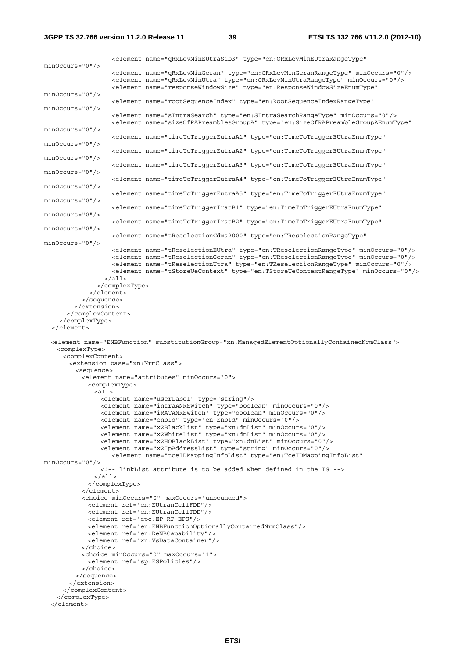**3GPP TS 32.766 version 11.2.0 Release 11 39 ETSI TS 132 766 V11.2.0 (2012-10)**

 <element name="qRxLevMinEUtraSib3" type="en:QRxLevMinEUtraRangeType" minOccurs="0"/> <element name="qRxLevMinGeran" type="en:QRxLevMinGeranRangeType" minOccurs="0"/> <element name="qRxLevMinUtra" type="en:QRxLevMinUtraRangeType" minOccurs="0"/> <element name="responseWindowSize" type="en:ResponseWindowSizeEnumType" minOccurs="0"/> <element name="rootSequenceIndex" type="en:RootSequenceIndexRangeType" minOccurs="0"/> <element name="sIntraSearch" type="en:SIntraSearchRangeType" minOccurs="0"/> <element name="sizeOfRAPreamblesGroupA" type="en:SizeOfRAPreambleGroupAEnumType" minOccurs="0"/> <element name="timeToTriggerEutraA1" type="en:TimeToTriggerEUtraEnumType" minOccurs="0"/> <element name="timeToTriggerEutraA2" type="en:TimeToTriggerEUtraEnumType" minOccurs="0"/> <element name="timeToTriggerEutraA3" type="en:TimeToTriggerEUtraEnumType" minOccurs="0"/> <element name="timeToTriggerEutraA4" type="en:TimeToTriggerEUtraEnumType" minOccurs="0"/> <element name="timeToTriggerEutraA5" type="en:TimeToTriggerEUtraEnumType" minOccurs="0"/> <element name="timeToTriggerIratB1" type="en:TimeToTriggerEUtraEnumType" minOccurs="0"/> <element name="timeToTriggerIratB2" type="en:TimeToTriggerEUtraEnumType" minOccurs="0"/> <element name="tReselectionCdma2000" type="en:TReselectionRangeType" minOccurs="0"/> <element name="tReselectionEUtra" type="en:TReselectionRangeType" minOccurs="0"/> <element name="tReselectionGeran" type="en:TReselectionRangeType" minOccurs="0"/> <element name="tReselectionUtra" type="en:TReselectionRangeType" minOccurs="0"/> <element name="tStoreUeContext" type="en:TStoreUeContextRangeType" minOccurs="0"/>  $\langle$ all $>$  </complexType> </element> </sequence> </extension> </complexContent> </complexType> </element> <element name="ENBFunction" substitutionGroup="xn:ManagedElementOptionallyContainedNrmClass"> <complexType> <complexContent> <extension base="xn:NrmClass"> <sequence> <element name="attributes" minOccurs="0"> <complexType> <all> <element name="userLabel" type="string"/> <element name="intraANRSwitch" type="boolean" minOccurs="0"/> <element name="iRATANRSwitch" type="boolean" minOccurs="0"/> <element name="enbId" type="en:EnbId" minOccurs="0"/> <element name="x2BlackList" type="xn:dnList" minOccurs="0"/> <element name="x2WhiteList" type="xn:dnList" minOccurs="0"/> <element name="x2HOBlackList" type="xn:dnList" minOccurs="0"/> <element name="x2IpAddressList" type="string" minOccurs="0"/> <element name="tceIDMappingInfoList" type="en:TceIDMappingInfoList" minOccurs="0"/> <!-- linkList attribute is to be added when defined in the IS -->  $\frac{1}{2}$  </complexType> </element> <choice minOccurs="0" maxOccurs="unbounded"> <element ref="en:EUtranCellFDD"/> <element ref="en:EUtranCellTDD"/> <element ref="epc:EP\_RP\_EPS"/> <element ref="en:ENBFunctionOptionallyContainedNrmClass"/> <element ref="en:DeNBCapability"/> <element ref="xn:VsDataContainer"/> </choice> <choice minOccurs="0" maxOccurs="1"> <element ref="sp:ESPolicies"/> </choice> </sequence> </extension> </complexContent> </complexType>

</element>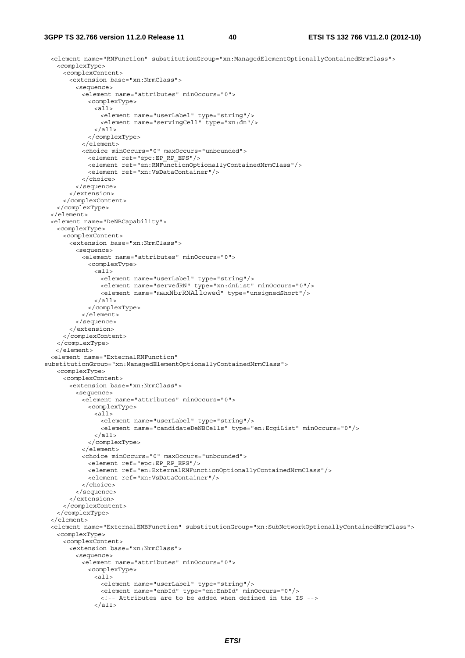<element name="RNFunction" substitutionGroup="xn:ManagedElementOptionallyContainedNrmClass"> <complexType> <complexContent> <extension base="xn:NrmClass"> <sequence> <element name="attributes" minOccurs="0"> <complexType>  $\leq$ all $\geq$  <element name="userLabel" type="string"/> <element name="servingCell" type="xn:dn"/>  $\langle$ all $>$  </complexType> </element> <choice minOccurs="0" maxOccurs="unbounded"> <element ref="epc:EP\_RP\_EPS"/> <element ref="en:RNFunctionOptionallyContainedNrmClass"/> <element ref="xn:VsDataContainer"/> </choice> </sequence> </extension> </complexContent> </complexType> </element> <element name="DeNBCapability"> <complexType> <complexContent> <extension base="xn:NrmClass"> <sequence> <element name="attributes" minOccurs="0"> <complexType>  $\leq$ all $\geq$  <element name="userLabel" type="string"/> <element name="servedRN" type="xn:dnList" minOccurs="0"/> <element name="maxNbrRNAllowed" type="unsignedShort"/>  $\langle$ all $\rangle$  </complexType>  $\sim$ /element $\sim$  </sequence> </extension> </complexContent> </complexType> </element> <element name="ExternalRNFunction" substitutionGroup="xn:ManagedElementOptionallyContainedNrmClass"> <complexType> <complexContent> <extension base="xn:NrmClass"> <sequence> <element name="attributes" minOccurs="0"> <complexType>  $\langle$ all $\rangle$  <element name="userLabel" type="string"/> <element name="candidateDeNBCells" type="en:EcgiList" minOccurs="0"/>  $\langle$ all $>$  </complexType> </element> <choice minOccurs="0" maxOccurs="unbounded"> <element ref="epc:EP\_RP\_EPS"/> <element ref="en:ExternalRNFunctionOptionallyContainedNrmClass"/> <element ref="xn:VsDataContainer"/> </choice> </sequence> </extension> </complexContent> </complexType> </element> <element name="ExternalENBFunction" substitutionGroup="xn:SubNetworkOptionallyContainedNrmClass"> <complexType> <complexContent> <extension base="xn:NrmClass"> <sequence> <element name="attributes" minOccurs="0"> <complexType> <all> <element name="userLabel" type="string"/> <element name="enbId" type="en:EnbId" minOccurs="0"/> <!-- Attributes are to be added when defined in the IS --> </all>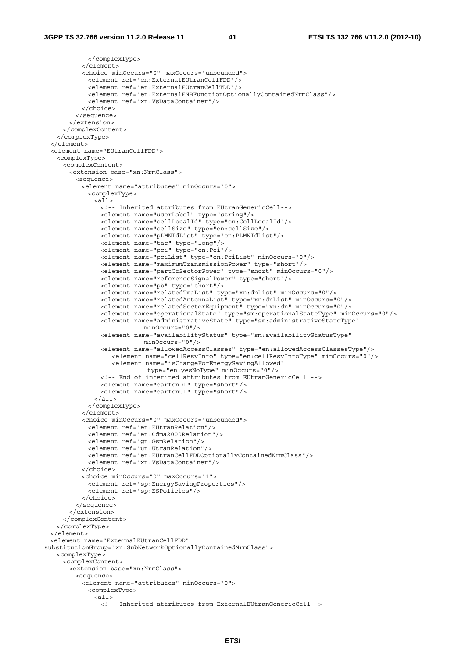```
 </complexType> 
           </element> 
           <choice minOccurs="0" maxOccurs="unbounded"> 
             <element ref="en:ExternalEUtranCellFDD"/> 
             <element ref="en:ExternalEUtranCellTDD"/> 
             <element ref="en:ExternalENBFunctionOptionallyContainedNrmClass"/> 
             <element ref="xn:VsDataContainer"/> 
           </choice> 
         </sequence> 
        </extension> 
      </complexContent> 
    </complexType> 
  \epsilon/element>
  <element name="EUtranCellFDD"> 
    <complexType> 
      <complexContent> 
        <extension base="xn:NrmClass"> 
         <sequence> 
           <element name="attributes" minOccurs="0"> 
             <complexType> 
               <all> 
                <!-- Inherited attributes from EUtranGenericCell--> 
                 <element name="userLabel" type="string"/> 
                 <element name="cellLocalId" type="en:CellLocalId"/> 
 <element name="cellSize" type="en:cellSize"/> 
 <element name="pLMNIdList" type="en:PLMNIdList"/> 
                 <element name="tac" type="long"/> 
                 <element name="pci" type="en:Pci"/> 
                 <element name="pciList" type="en:PciList" minOccurs="0"/> 
                 <element name="maximumTransmissionPower" type="short"/> 
                 <element name="partOfSectorPower" type="short" minOccurs="0"/> 
                 <element name="referenceSignalPower" type="short"/> 
                <element name="pb" type="short"/> 
                 <element name="relatedTmaList" type="xn:dnList" minOccurs="0"/> 
                 <element name="relatedAntennaList" type="xn:dnList" minOccurs="0"/> 
                 <element name="relatedSectorEquipment" type="xn:dn" minOccurs="0"/> 
                 <element name="operationalState" type="sm:operationalStateType" minOccurs="0"/> 
                <element name="administrativeState" type="sm:administrativeStateType" 
                            minOccurs="0"/> 
                 <element name="availabilityStatus" type="sm:availabilityStatusType" 
                            minOccurs="0"/> 
                 <element name="allowedAccessClasses" type="en:allowedAccessClassesType"/> 
                    <element name="cellResvInfo" type="en:cellResvInfoType" minOccurs="0"/> 
                    <element name="isChangeForEnergySavingAllowed" 
                              type="en:yesNoType" minOccurs="0"/> 
                <!-- End of inherited attributes from EUtranGenericCell --> 
                 <element name="earfcnDl" type="short"/> 
                 <element name="earfcnUl" type="short"/> 
              \langleall\rangle </complexType> 
           </element> 
           <choice minOccurs="0" maxOccurs="unbounded"> 
             <element ref="en:EUtranRelation"/> 
             <element ref="en:Cdma2000Relation"/> 
             <element ref="gn:GsmRelation"/> 
             <element ref="un:UtranRelation"/> 
             <element ref="en:EUtranCellFDDOptionallyContainedNrmClass"/> 
             <element ref="xn:VsDataContainer"/> 
           </choice> 
           <choice minOccurs="0" maxOccurs="1"> 
             <element ref="sp:EnergySavingProperties"/> 
             <element ref="sp:ESPolicies"/> 
           </choice> 
         </sequence> 
        </extension> 
      </complexContent> 
    </complexType> 
  </element> 
  <element name="ExternalEUtranCellFDD" 
substitutionGroup="xn:SubNetworkOptionallyContainedNrmClass"> 
    <complexType> 
      <complexContent> 
        <extension base="xn:NrmClass"> 
         <sequence> 
           <element name="attributes" minOccurs="0"> 
             <complexType> 
               <all> 
                <!-- Inherited attributes from ExternalEUtranGenericCell-->
```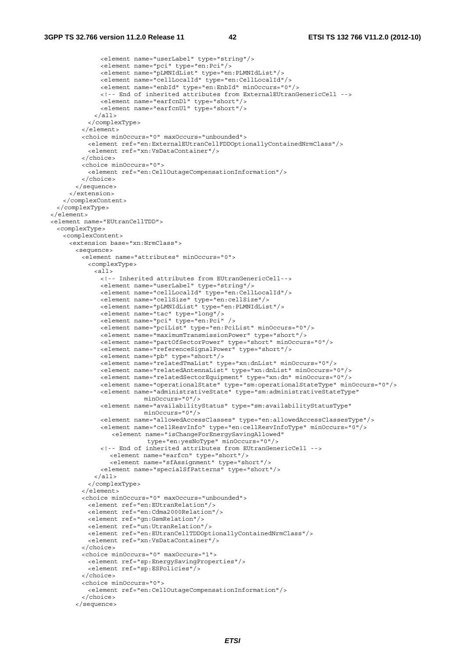```
 <element name="userLabel" type="string"/> 
                <element name="pci" type="en:Pci"/> 
                <element name="pLMNIdList" type="en:PLMNIdList"/> 
                <element name="cellLocalId" type="en:CellLocalId"/> 
                <element name="enbId" type="en:EnbId" minOccurs="0"/> 
                <!-- End of inherited attributes from ExternalEUtranGenericCell --> 
 <element name="earfcnDl" type="short"/> 
 <element name="earfcnUl" type="short"/> 
             \epsilon/all\epsilon </complexType> 
           </element> 
           <choice minOccurs="0" maxOccurs="unbounded"> 
            <element ref="en:ExternalEUtranCellFDDOptionallyContainedNrmClass"/> 
             <element ref="xn:VsDataContainer"/> 
           </choice> 
           <choice minOccurs="0"> 
            <element ref="en:CellOutageCompensationInformation"/> 
           </choice> 
         </sequence> 
       </extension> 
      </complexContent> 
    </complexType> 
  </element> 
  <element name="EUtranCellTDD"> 
    <complexType> 
      <complexContent> 
       <extension base="xn:NrmClass"> 
         <sequence> 
           <element name="attributes" minOccurs="0"> 
            <complexType> 
             \le all \ge <!-- Inherited attributes from EUtranGenericCell--> 
                <element name="userLabel" type="string"/> 
                <element name="cellLocalId" type="en:CellLocalId"/> 
                <element name="cellSize" type="en:cellSize"/> 
                <element name="pLMNIdList" type="en:PLMNIdList"/> 
                <element name="tac" type="long"/> 
                <element name="pci" type="en:Pci" /> 
                <element name="pciList" type="en:PciList" minOccurs="0"/> 
                <element name="maximumTransmissionPower" type="short"/> 
                <element name="partOfSectorPower" type="short" minOccurs="0"/> 
                <element name="referenceSignalPower" type="short"/> 
                <element name="pb" type="short"/> 
                <element name="relatedTmaList" type="xn:dnList" minOccurs="0"/> 
                <element name="relatedAntennaList" type="xn:dnList" minOccurs="0"/> 
 <element name="relatedSectorEquipment" type="xn:dn" minOccurs="0"/> 
 <element name="operationalState" type="sm:operationalStateType" minOccurs="0"/> 
                <element name="administrativeState" type="sm:administrativeStateType" 
                            minOccurs="0"/> 
                <element name="availabilityStatus" type="sm:availabilityStatusType" 
                           minOccurs="0"/> 
                <element name="allowedAccessClasses" type="en:allowedAccessClassesType"/> 
                <element name="cellResvInfo" type="en:cellResvInfoType" minOccurs="0"/> 
                   <element name="isChangeForEnergySavingAllowed" 
                             type="en:yesNoType" minOccurs="0"/> 
                <!-- End of inherited attributes from EUtranGenericCell --> 
                  <element name="earfcn" type="short"/> 
                   <element name="sfAssignment" type="short"/> 
                <element name="specialSfPatterns" type="short"/> 
             \frac{1}{2} </complexType> 
           </element> 
           <choice minOccurs="0" maxOccurs="unbounded"> 
            <element ref="en:EUtranRelation"/> 
            <element ref="en:Cdma2000Relation"/> 
            <element ref="gn:GsmRelation"/> 
            <element ref="un:UtranRelation"/> 
            <element ref="en:EUtranCellTDDOptionallyContainedNrmClass"/> 
            <element ref="xn:VsDataContainer"/> 
           </choice> 
           <choice minOccurs="0" maxOccurs="1"> 
            <element ref="sp:EnergySavingProperties"/> 
             <element ref="sp:ESPolicies"/> 
           </choice> 
           <choice minOccurs="0"> 
            <element ref="en:CellOutageCompensationInformation"/> 
          \alpha </sequence>
```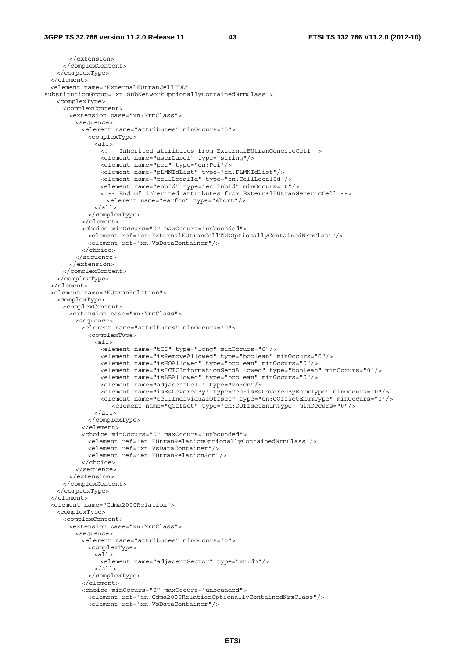```
 </extension> 
      </complexContent> 
    </complexType> 
  </element> 
  <element name="ExternalEUtranCellTDD" 
substitutionGroup="xn:SubNetworkOptionallyContainedNrmClass"> 
    <complexType> 
      <complexContent> 
        <extension base="xn:NrmClass"> 
         <sequence> 
           <element name="attributes" minOccurs="0"> 
             <complexType> 
              \leq alls
                 <!-- Inherited attributes from ExternalEUtranGenericCell--> 
                 <element name="userLabel" type="string"/> 
                 <element name="pci" type="en:Pci"/> 
 <element name="pLMNIdList" type="en:PLMNIdList"/> 
 <element name="cellLocalId" type="en:CellLocalId"/> 
                 <element name="enbId" type="en:EnbId" minOccurs="0"/> 
                 <!-- End of inherited attributes from ExternalEUtranGenericCell --> 
                  <element name="earfcn" type="short"/> 
              \epsilon/all\epsilon </complexType> 
           </element> 
           <choice minOccurs="0" maxOccurs="unbounded"> 
             <element ref="en:ExternalEUtranCellTDDOptionallyContainedNrmClass"/> 
             <element ref="xn:VsDataContainer"/> 
           </choice> 
         </sequence> 
       \epsilon/extension\sim </complexContent> 
    </complexType> 
  </element> 
  <element name="EUtranRelation"> 
    <complexType> 
      <complexContent> 
        <extension base="xn:NrmClass"> 
         <sequence> 
           <element name="attributes" minOccurs="0"> 
             <complexType> 
               <all> 
                <element name="tCI" type="long" minOccurs="0"/> 
                 <element name="isRemoveAllowed" type="boolean" minOccurs="0"/> 
                 <element name="isHOAllowed" type="boolean" minOccurs="0"/> 
                 <element name="isICICInformationSendAllowed" type="boolean" minOccurs="0"/> 
                 <element name="isLBAllowed" type="boolean" minOccurs="0"/> 
                 <element name="adjacentCell" type="xn:dn"/> 
                 <element name="isEsCoveredBy" type="en:isEsCoveredByEnumType" minOccurs="0"/> 
                 <element name="cellIndividualOffset" type="en:QOffsetEnumType" minOccurs="0"/> 
                    <element name="qOffset" type="en:QOffsetEnumType" minOccurs="0"/> 
              \langleall> </complexType> 
           </element> 
           <choice minOccurs="0" maxOccurs="unbounded"> 
             <element ref="en:EUtranRelationOptionallyContainedNrmClass"/> 
             <element ref="xn:VsDataContainer"/> 
             <element ref="en:EUtranRelationSon"/> 
           </choice> 
         </sequence> 
        </extension> 
      </complexContent> 
    </complexType> 
  </element> 
  <element name="Cdma2000Relation"> 
    <complexType> 
      <complexContent> 
        <extension base="xn:NrmClass"> 
         <sequence> 
           <element name="attributes" minOccurs="0"> 
             <complexType> 
               <all> 
                 <element name="adjacentSector" type="xn:dn"/> 
              \langleall\rangle </complexType> 
            </element> 
           <choice minOccurs="0" maxOccurs="unbounded"> 
             <element ref="en:Cdma2000RelationOptionallyContainedNrmClass"/> 
             <element ref="xn:VsDataContainer"/>
```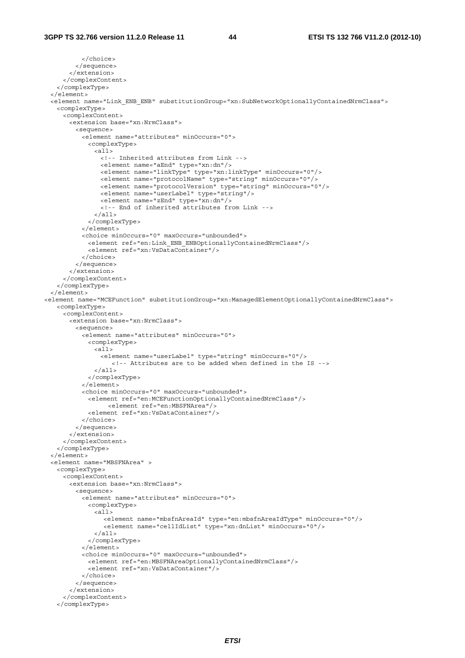```
 </choice> 
          </sequence> 
        </extension> 
      </complexContent> 
    </complexType> 
  </element> 
  <element name="Link_ENB_ENB" substitutionGroup="xn:SubNetworkOptionallyContainedNrmClass"> 
    <complexType> 
      <complexContent> 
        <extension base="xn:NrmClass"> 
          <sequence> 
           <element name="attributes" minOccurs="0"> 
             <complexType> 
              <sub>all></sub></sub>
                 <!-- Inherited attributes from Link --> 
                 <element name="aEnd" type="xn:dn"/> 
                 <element name="linkType" type="xn:linkType" minOccurs="0"/> 
                 <element name="protocolName" type="string" minOccurs="0"/> 
                 <element name="protocolVersion" type="string" minOccurs="0"/> 
                 <element name="userLabel" type="string"/> 
                 <element name="zEnd" type="xn:dn"/> 
                 <!-- End of inherited attributes from Link --> 
              \langleall> </complexType> 
          \epsilon/element>
           <choice minOccurs="0" maxOccurs="unbounded"> 
             <element ref="en:Link_ENB_ENBOptionallyContainedNrmClass"/> 
             <element ref="xn:VsDataContainer"/> 
           </choice> 
          </sequence> 
        </extension> 
      </complexContent> 
    </complexType> 
  </element> 
<element name="MCEFunction" substitutionGroup="xn:ManagedElementOptionallyContainedNrmClass"> 
    <complexType> 
      <complexContent> 
        <extension base="xn:NrmClass"> 
          <sequence> 
           <element name="attributes" minOccurs="0"> 
             <complexType> 
              \leall\le <element name="userLabel" type="string" minOccurs="0"/> 
                    <!-- Attributes are to be added when defined in the IS --> 
              \langleall> </complexType> 
           </element> 
           <choice minOccurs="0" maxOccurs="unbounded"> 
             <element ref="en:MCEFunctionOptionallyContainedNrmClass"/> 
                  <element ref="en:MBSFNArea"/> 
             <element ref="xn:VsDataContainer"/> 
           </choice> 
          </sequence> 
        </extension> 
      </complexContent> 
    </complexType> 
  </element> 
  <element name="MBSFNArea" > 
    <complexType> 
      <complexContent> 
        <extension base="xn:NrmClass"> 
          <sequence> 
           <element name="attributes" minOccurs="0"> 
             <complexType> 
              \leq alls
                  <element name="mbsfnAreaId" type="en:mbsfnAreaIdType" minOccurs="0"/> 
                  <element name="cellIdList" type="xn:dnList" minOccurs="0"/> 
              \epsilon/all\epsilon </complexType> 
           </element> 
           <choice minOccurs="0" maxOccurs="unbounded"> 
             <element ref="en:MBSFNAreaOptionallyContainedNrmClass"/> 
             <element ref="xn:VsDataContainer"/> 
           </choice> 
          </sequence> 
        </extension> 
      </complexContent> 
    </complexType>
```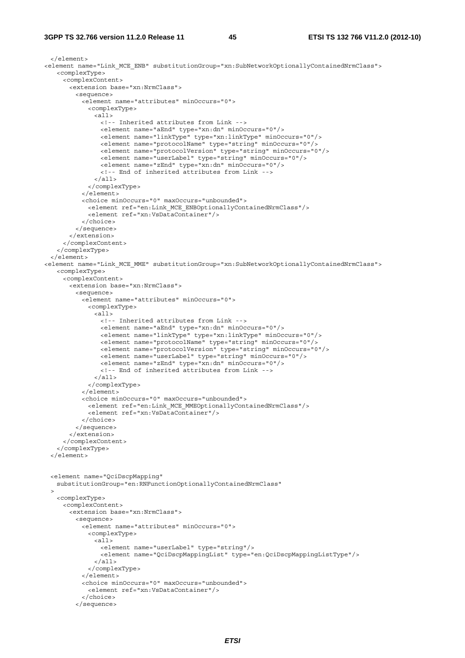#### **3GPP TS 32.766 version 11.2.0 Release 11 45 ETSI TS 132 766 V11.2.0 (2012-10)**

</element>

```
<element name="Link_MCE_ENB" substitutionGroup="xn:SubNetworkOptionallyContainedNrmClass"> 
    <complexType> 
      <complexContent> 
        <extension base="xn:NrmClass"> 
          <sequence> 
           <element name="attributes" minOccurs="0"> 
             <complexType> 
              \leqall\geq <!-- Inherited attributes from Link --> 
                 <element name="aEnd" type="xn:dn" minOccurs="0"/> 
                 <element name="linkType" type="xn:linkType" minOccurs="0"/> 
                 <element name="protocolName" type="string" minOccurs="0"/> 
                 <element name="protocolVersion" type="string" minOccurs="0"/> 
                 <element name="userLabel" type="string" minOccurs="0"/> 
                 <element name="zEnd" type="xn:dn" minOccurs="0"/> 
                <!-- End of inherited attributes from Link --> 
              \langleall> </complexType> 
           </element> 
           <choice minOccurs="0" maxOccurs="unbounded"> 
             <element ref="en:Link_MCE_ENBOptionallyContainedNrmClass"/> 
             <element ref="xn:VsDataContainer"/> 
           </choice> 
          </sequence> 
        </extension> 
      </complexContent> 
    </complexType> 
  </element> 
<element name="Link_MCE_MME" substitutionGroup="xn:SubNetworkOptionallyContainedNrmClass"> 
    <complexType> 
      <complexContent> 
        <extension base="xn:NrmClass"> 
          <sequence> 
           <element name="attributes" minOccurs="0"> 
             <complexType> 
               <all> 
                 <!-- Inherited attributes from Link --> 
                 <element name="aEnd" type="xn:dn" minOccurs="0"/> 
                 <element name="linkType" type="xn:linkType" minOccurs="0"/> 
                 <element name="protocolName" type="string" minOccurs="0"/> 
                 <element name="protocolVersion" type="string" minOccurs="0"/> 
                 <element name="userLabel" type="string" minOccurs="0"/> 
                 <element name="zEnd" type="xn:dn" minOccurs="0"/> 
                 <!-- End of inherited attributes from Link --> 
              \langleall> </complexType> 
           </element> 
           <choice minOccurs="0" maxOccurs="unbounded"> 
             <element ref="en:Link_MCE_MMEOptionallyContainedNrmClass"/> 
             <element ref="xn:VsDataContainer"/> 
           </choice> 
          </sequence> 
        </extension> 
      </complexContent> 
    </complexType> 
  </element> 
  <element name="QciDscpMapping" 
    substitutionGroup="en:RNFunctionOptionallyContainedNrmClass" 
\rightarrow <complexType> 
      <complexContent> 
        <extension base="xn:NrmClass"> 
          <sequence> 
           <element name="attributes" minOccurs="0"> 
             <complexType> 
               <all> 
                 <element name="userLabel" type="string"/> 
                 <element name="QciDscpMappingList" type="en:QciDscpMappingListType"/> 
               </all> 
             </complexType> 
           </element> 
           <choice minOccurs="0" maxOccurs="unbounded"> 
             <element ref="xn:VsDataContainer"/> 
           </choice> 
          </sequence>
```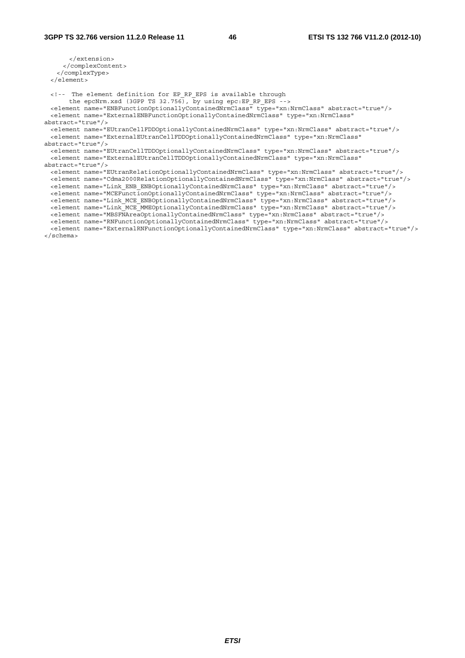</extension> </complexContent> </complexType> </element>

 <!-- The element definition for EP\_RP\_EPS is available through the epcNrm.xsd (3GPP TS 32.756), by using epc:EP RP EPS --> element name="ENBFunctionOptionallyContainedNrmClass" type="xn:NrmClass" abstract="true"/> <element name="ExternalENBFunctionOptionallyContainedNrmClass" type="xn:NrmClass" abstract="true"/> <element name="EUtranCellFDDOptionallyContainedNrmClass" type="xn:NrmClass" abstract="true"/> <element name="ExternalEUtranCellFDDOptionallyContainedNrmClass" type="xn:NrmClass" abstract="true"/ $\frac{1}{2}$  <element name="EUtranCellTDDOptionallyContainedNrmClass" type="xn:NrmClass" abstract="true"/> <element name="ExternalEUtranCellTDDOptionallyContainedNrmClass" type="xn:NrmClass" abstract="true"/> <element name="EUtranRelationOptionallyContainedNrmClass" type="xn:NrmClass" abstract="true"/> <element name="Cdma2000RelationOptionallyContainedNrmClass" type="xn:NrmClass" abstract="true"/> <element name="Link\_ENB\_ENBOptionallyContainedNrmClass" type="xn:NrmClass" abstract="true"/> <element name="MCEFunctionOptionallyContainedNrmClass" type="xn:NrmClass" abstract="true"/> <element name="Link\_MCE\_ENBOptionallyContainedNrmClass" type="xn:NrmClass" abstract="true"/> <element name="Link\_MCE\_MMEOptionallyContainedNrmClass" type="xn:NrmClass" abstract="true"/> <element name="MBSFNAreaOptionallyContainedNrmClass" type="xn:NrmClass" abstract="true"/> <element name="RNFunctionOptionallyContainedNrmClass" type="xn:NrmClass" abstract="true"/> <element name="ExternalRNFunctionOptionallyContainedNrmClass" type="xn:NrmClass" abstract="true"/>

</schema>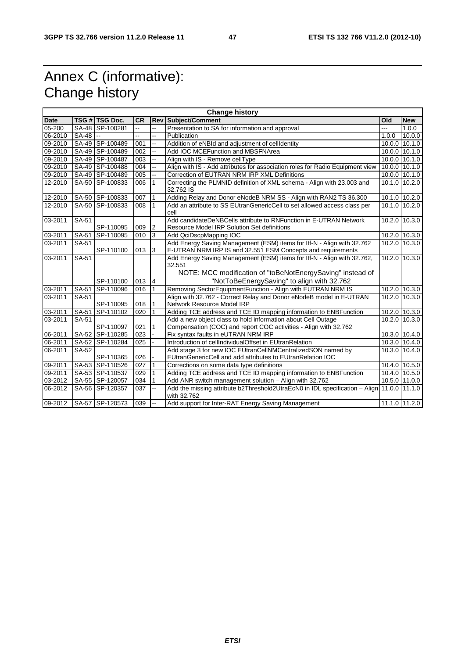## Annex C (informative): Change history

| <b>Change history</b> |             |                 |           |                |                                                                                                                  |     |               |
|-----------------------|-------------|-----------------|-----------|----------------|------------------------------------------------------------------------------------------------------------------|-----|---------------|
| Date                  |             | TSG # TSG Doc.  | <b>CR</b> | <b>Rev</b>     | <b>Subject/Comment</b>                                                                                           | Old | <b>New</b>    |
| 05-200                |             | SA-48 SP-100281 |           | щ.             | Presentation to SA for information and approval                                                                  |     | 1.0.0         |
| 06-2010               | $SA-48$ $-$ |                 | ц.        | Щ,             | Publication<br>1.0.0                                                                                             |     | 10.0.0        |
| 09-2010               |             | SA-49 SP-100489 | 001       | Щ.             | Addition of eNBId and adjustment of cellIdentity                                                                 |     | 10.0.0 10.1.0 |
| 09-2010               |             | SA-49 SP-100489 | 002       | Щ,             | Add IOC MCEFunction and MBSFNArea                                                                                |     | 10.0.0 10.1.0 |
| 09-2010               |             | SA-49 SP-100487 | 003       | ш.             | Align with IS - Remove cellType                                                                                  |     | 10.0.0 10.1.0 |
| 09-2010               |             | SA-49 SP-100488 | 004       | ш.             | Align with IS - Add attributes for association roles for Radio Equipment view                                    |     | 10.0.0 10.1.0 |
| 09-2010               |             | SA-49 SP-100489 | 005       | ш.             | Correction of EUTRAN NRM IRP XML Definitions                                                                     |     | 10.0.0 10.1.0 |
| 12-2010               | SA-50       | SP-100833       | 006       | 1              | Correcting the PLMNID definition of XML schema - Align with 23.003 and<br>32.762 IS                              |     | 10.1.0 10.2.0 |
| 12-2010               |             | SA-50 SP-100833 | 007       | 1              | Adding Relay and Donor eNodeB NRM SS - Align with RAN2 TS 36.300                                                 |     | 10.1.0 10.2.0 |
| 12-2010               |             | SA-50 SP-100833 | 008       | $\mathbf{1}$   | Add an attribute to SS EUtranGenericCell to set allowed access class per<br>cell                                 |     | 10.1.0 10.2.0 |
| 03-2011               | SA-51       | SP-110095       | 009       | 2              | Add candidateDeNBCells attribute to RNFunction in E-UTRAN Network<br>Resource Model IRP Solution Set definitions |     | 10.2.0 10.3.0 |
| 03-2011               | SA-51       | SP-110095       | 010       | 3              | Add QciDscpMapping IOC                                                                                           |     | 10.2.0 10.3.0 |
| 03-2011               | SA-51       |                 |           |                | Add Energy Saving Management (ESM) items for Itf-N - Align with 32.762                                           |     | 10.2.0 10.3.0 |
|                       |             | SP-110100       | 013       | 3              | E-UTRAN NRM IRP IS and 32.551 ESM Concepts and requirements                                                      |     |               |
| 03-2011               | SA-51       |                 |           |                | Add Energy Saving Management (ESM) items for Itf-N - Align with 32.762,<br>32.551                                |     | 10.2.0 10.3.0 |
|                       |             |                 |           |                | NOTE: MCC modification of "toBeNotEnergySaving" instead of                                                       |     |               |
|                       |             | SP-110100       | 013       | $\overline{4}$ | "NotToBeEnergySaving" to align with 32.762                                                                       |     |               |
| 03-2011               | SA-51       | SP-110096       | 016       | $\mathbf{1}$   | Removing SectorEquipmentFunction - Align with EUTRAN NRM IS                                                      |     | 10.2.0 10.3.0 |
| 03-2011               | SA-51       |                 |           |                | Align with 32.762 - Correct Relay and Donor eNodeB model in E-UTRAN                                              |     | 10.2.0 10.3.0 |
|                       |             | SP-110095       | 018       | $\mathbf{1}$   | Network Resource Model IRP                                                                                       |     |               |
| 03-2011               | SA-51       | SP-110102       | 020       | 1              | Adding TCE address and TCE ID mapping information to ENBFunction                                                 |     | 10.2.0 10.3.0 |
| 03-2011               | SA-51       |                 |           |                | Add a new object class to hold information about Cell Outage                                                     |     | 10.2.0 10.3.0 |
|                       |             | SP-110097       | 021       | $\mathbf{1}$   | Compensation (COC) and report COC activities - Align with 32.762                                                 |     |               |
| 06-2011               |             | SA-52 SP-110285 | 023       |                | Fix syntax faults in eUTRAN NRM IRP                                                                              |     | 10.3.0 10.4.0 |
| 06-2011               |             | SA-52 SP-110284 | 025       |                | Introduction of cellIndividualOffset in EUtranRelation                                                           |     | 10.3.0 10.4.0 |
| 06-2011               | SA-52       |                 |           |                | Add stage 3 for new IOC EUtranCellNMCentralizedSON named by                                                      |     | 10.3.0 10.4.0 |
|                       |             | SP-110365       | 026       |                | EUtranGenericCell and add attributes to EUtranRelation IOC                                                       |     |               |
| 09-2011               |             | SA-53 SP-110526 | 027       | $\mathbf{1}$   | Corrections on some data type definitions                                                                        |     | 10.4.0 10.5.0 |
| 09-2011               |             | SA-53 SP-110537 | 029       | $\mathbf{1}$   | Adding TCE address and TCE ID mapping information to ENBFunction                                                 |     | 10.4.0 10.5.0 |
| 03-2012               |             | SA-55 SP-120057 | 034       | $\mathbf{1}$   | Add ANR switch management solution - Align with 32.762                                                           |     | 10.5.0 11.0.0 |
| 06-2012               |             | SA-56 SP-120357 | 037       | ш,             | Add the missing attribute b2Threshold2UtraEcN0 in IDL specification - Align<br>with 32.762                       |     | 11.0.0 11.1.0 |
| 09-2012               |             | SA-57 SP-120573 | 039       | --             | Add support for Inter-RAT Energy Saving Management                                                               |     | 11.1.0 11.2.0 |